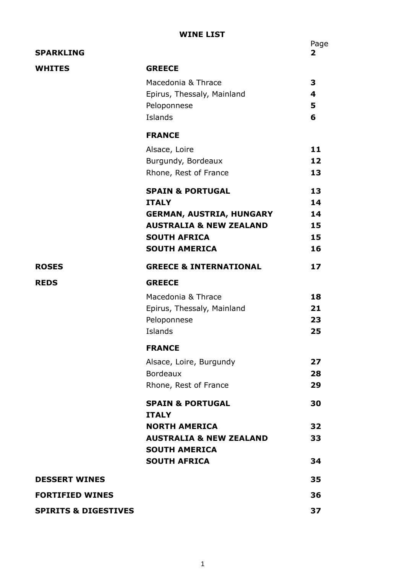## **WINE LIST**

| <b>SPARKLING</b>                |                                                                                                                                                                     | $\overline{\mathbf{2}}$          |
|---------------------------------|---------------------------------------------------------------------------------------------------------------------------------------------------------------------|----------------------------------|
| <b>WHITES</b>                   | <b>GREECE</b><br>Macedonia & Thrace<br>Epirus, Thessaly, Mainland<br>Peloponnese<br>Islands                                                                         | 3<br>4<br>5<br>6                 |
|                                 | <b>FRANCE</b>                                                                                                                                                       |                                  |
|                                 | Alsace, Loire<br>Burgundy, Bordeaux<br>Rhone, Rest of France                                                                                                        | 11<br>12<br>13                   |
|                                 | <b>SPAIN &amp; PORTUGAL</b><br><b>ITALY</b><br><b>GERMAN, AUSTRIA, HUNGARY</b><br><b>AUSTRALIA &amp; NEW ZEALAND</b><br><b>SOUTH AFRICA</b><br><b>SOUTH AMERICA</b> | 13<br>14<br>14<br>15<br>15<br>16 |
| <b>ROSES</b>                    | <b>GREECE &amp; INTERNATIONAL</b>                                                                                                                                   | 17                               |
| <b>REDS</b>                     | <b>GREECE</b>                                                                                                                                                       |                                  |
|                                 | Macedonia & Thrace<br>Epirus, Thessaly, Mainland<br>Peloponnese<br>Islands                                                                                          | 18<br>21<br>23<br>25             |
|                                 | <b>FRANCE</b>                                                                                                                                                       |                                  |
|                                 | Alsace, Loire, Burgundy<br><b>Bordeaux</b><br>Rhone, Rest of France                                                                                                 | 27<br>28<br>29                   |
|                                 | <b>SPAIN &amp; PORTUGAL</b><br><b>ITALY</b>                                                                                                                         | 30                               |
|                                 | <b>NORTH AMERICA</b><br><b>AUSTRALIA &amp; NEW ZEALAND</b><br><b>SOUTH AMERICA</b>                                                                                  | 32<br>33                         |
|                                 | <b>SOUTH AFRICA</b>                                                                                                                                                 | 34                               |
| <b>DESSERT WINES</b>            |                                                                                                                                                                     | 35                               |
| <b>FORTIFIED WINES</b>          |                                                                                                                                                                     | 36                               |
| <b>SPIRITS &amp; DIGESTIVES</b> |                                                                                                                                                                     | 37                               |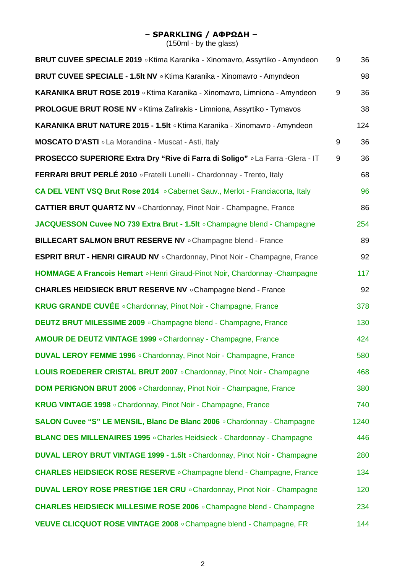#### **– SPARKLING / ΑΦΡΩΔΗ –**

| <b>BRUT CUVEE SPECIALE 2019</b> • Ktima Karanika - Xinomavro, Assyrtiko - Amyndeon | 9 | 36   |
|------------------------------------------------------------------------------------|---|------|
| BRUT CUVEE SPECIALE - 1.5It NV . Ktima Karanika - Xinomavro - Amyndeon             |   | 98   |
| KARANIKA BRUT ROSE 2019 . Ktima Karanika - Xinomavro, Limniona - Amyndeon          | 9 | 36   |
| PROLOGUE BRUT ROSE NV . Ktima Zafirakis - Limniona, Assyrtiko - Tyrnavos           |   | 38   |
| KARANIKA BRUT NATURE 2015 - 1.5It o Ktima Karanika - Xinomavro - Amyndeon          |   | 124  |
| MOSCATO D'ASTI . La Morandina - Muscat - Asti, Italy                               | 9 | 36   |
| PROSECCO SUPERIORE Extra Dry "Rive di Farra di Soligo" .La Farra -Glera - IT       | 9 | 36   |
| FERRARI BRUT PERLÉ 2010 · Fratelli Lunelli - Chardonnay - Trento, Italy            |   | 68   |
| CA DEL VENT VSQ Brut Rose 2014 . Cabernet Sauv., Merlot - Franciacorta, Italy      |   | 96   |
| <b>CATTIER BRUT QUARTZ NV</b> . Chardonnay, Pinot Noir - Champagne, France         |   | 86   |
| JACQUESSON Cuvee NO 739 Extra Brut - 1.5It . Champagne blend - Champagne           |   | 254  |
| BILLECART SALMON BRUT RESERVE NV . Champagne blend - France                        |   | 89   |
| ESPRIT BRUT - HENRI GIRAUD NV . Chardonnay, Pinot Noir - Champagne, France         |   | 92   |
| HOMMAGE A Francois Hemart . Henri Giraud-Pinot Noir, Chardonnay -Champagne         |   | 117  |
| <b>CHARLES HEIDSIECK BRUT RESERVE NV</b> . Champagne blend - France                |   | 92   |
| <b>KRUG GRANDE CUVÉE</b> . Chardonnay, Pinot Noir - Champagne, France              |   | 378  |
| DEUTZ BRUT MILESSIME 2009 . Champagne blend - Champagne, France                    |   | 130  |
| AMOUR DE DEUTZ VINTAGE 1999 . Chardonnay - Champagne, France                       |   | 424  |
| <b>DUVAL LEROY FEMME 1996</b> . Chardonnay, Pinot Noir - Champagne, France         |   | 580  |
| LOUIS ROEDERER CRISTAL BRUT 2007 . Chardonnay, Pinot Noir - Champagne              |   | 468  |
| DOM PERIGNON BRUT 2006 . Chardonnay, Pinot Noir - Champagne, France                |   | 380  |
| KRUG VINTAGE 1998 . Chardonnay, Pinot Noir - Champagne, France                     |   | 740  |
| SALON Cuvee "S" LE MENSIL, Blanc De Blanc 2006 . Chardonnay - Champagne            |   | 1240 |
| BLANC DES MILLENAIRES 1995 . Charles Heidsieck - Chardonnay - Champagne            |   | 446  |
| DUVAL LEROY BRUT VINTAGE 1999 - 1.5It . Chardonnay, Pinot Noir - Champagne         |   | 280  |
| <b>CHARLES HEIDSIECK ROSE RESERVE</b> . Champagne blend - Champagne, France        |   | 134  |
| <b>DUVAL LEROY ROSE PRESTIGE 1ER CRU</b> . Chardonnay, Pinot Noir - Champagne      |   | 120  |
| <b>CHARLES HEIDSIECK MILLESIME ROSE 2006</b> . Champagne blend - Champagne         |   | 234  |
| VEUVE CLICQUOT ROSE VINTAGE 2008 . Champagne blend - Champagne, FR                 |   | 144  |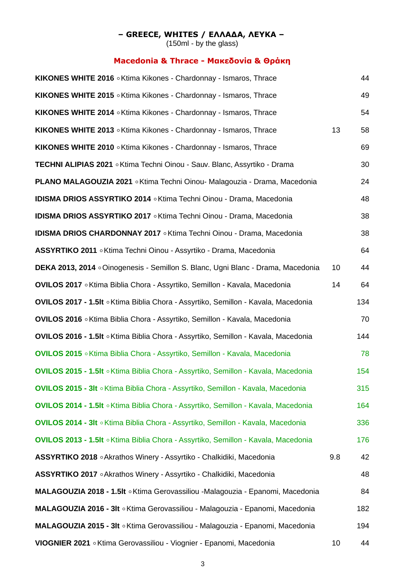#### **– GREECE, WHITES / ΕΛΛΑΔΑ, ΛΕΥΚΑ –**

(150ml - by the glass)

## **Macedonia & Thrace - Μακεδονία & Θράκη**

| KIKONES WHITE 2016 . Ktima Kikones - Chardonnay - Ismaros, Thrace                         |     | 44  |
|-------------------------------------------------------------------------------------------|-----|-----|
| KIKONES WHITE 2015 . Ktima Kikones - Chardonnay - Ismaros, Thrace                         |     | 49  |
| KIKONES WHITE 2014 . Ktima Kikones - Chardonnay - Ismaros, Thrace                         |     | 54  |
| KIKONES WHITE 2013 . Ktima Kikones - Chardonnay - Ismaros, Thrace                         | 13  | 58  |
| KIKONES WHITE 2010 . Ktima Kikones - Chardonnay - Ismaros, Thrace                         |     | 69  |
| TECHNI ALIPIAS 2021 . Ktima Techni Oinou - Sauv. Blanc, Assyrtiko - Drama                 |     | 30  |
| <b>PLANO MALAGOUZIA 2021 .</b> Ktima Techni Oinou- Malagouzia - Drama, Macedonia          |     | 24  |
| <b>IDISMA DRIOS ASSYRTIKO 2014</b> . Ktima Techni Oinou - Drama, Macedonia                |     | 48  |
| <b>IDISMA DRIOS ASSYRTIKO 2017</b> . Ktima Techni Oinou - Drama, Macedonia                |     | 38  |
| <b>IDISMA DRIOS CHARDONNAY 2017</b> . Ktima Techni Oinou - Drama, Macedonia               |     | 38  |
| ASSYRTIKO 2011 . Ktima Techni Oinou - Assyrtiko - Drama, Macedonia                        |     | 64  |
| DEKA 2013, 2014 ∘Oinogenesis - Semillon S. Blanc, Ugni Blanc - Drama, Macedonia           | 10  | 44  |
| OVILOS 2017 . Ktima Biblia Chora - Assyrtiko, Semillon - Kavala, Macedonia                | 14  | 64  |
| <b>OVILOS 2017 - 1.5It</b> ∘ Ktima Biblia Chora - Assyrtiko, Semillon - Kavala, Macedonia |     | 134 |
| OVILOS 2016 ∘ Ktima Biblia Chora - Assyrtiko, Semillon - Kavala, Macedonia                |     | 70  |
| <b>OVILOS 2016 - 1.5It</b> ∘ Ktima Biblia Chora - Assyrtiko, Semillon - Kavala, Macedonia |     | 144 |
| OVILOS 2015 . Ktima Biblia Chora - Assyrtiko, Semillon - Kavala, Macedonia                |     | 78  |
| OVILOS 2015 - 1.5It . Ktima Biblia Chora - Assyrtiko, Semillon - Kavala, Macedonia        |     | 154 |
| OVILOS 2015 - 3It . Ktima Biblia Chora - Assyrtiko, Semillon - Kavala, Macedonia          |     | 315 |
| OVILOS 2014 - 1.5It . Ktima Biblia Chora - Assyrtiko, Semillon - Kavala, Macedonia        |     | 164 |
| OVILOS 2014 - 3It . Ktima Biblia Chora - Assyrtiko, Semillon - Kavala, Macedonia          |     | 336 |
| OVILOS 2013 - 1.5It . Ktima Biblia Chora - Assyrtiko, Semillon - Kavala, Macedonia        |     | 176 |
| <b>ASSYRTIKO 2018</b> • Akrathos Winery - Assyrtiko - Chalkidiki, Macedonia               | 9.8 | 42  |
| <b>ASSYRTIKO 2017</b> • Akrathos Winery - Assyrtiko - Chalkidiki, Macedonia               |     | 48  |
| MALAGOUZIA 2018 - 1.5It . Ktima Gerovassiliou -Malagouzia - Epanomi, Macedonia            |     | 84  |
| MALAGOUZIA 2016 - 3It . Ktima Gerovassiliou - Malagouzia - Epanomi, Macedonia             |     | 182 |
| MALAGOUZIA 2015 - 3It . Ktima Gerovassiliou - Malagouzia - Epanomi, Macedonia             |     | 194 |
| VIOGNIER 2021 . Ktima Gerovassiliou - Viognier - Epanomi, Macedonia                       | 10  | 44  |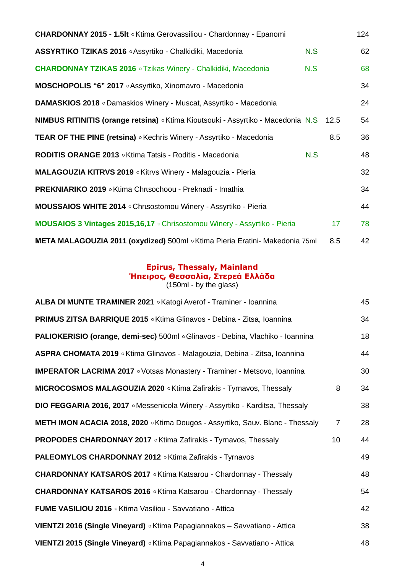| CHARDONNAY 2015 - 1.5It . Ktima Gerovassiliou - Chardonnay - Epanomi                    |     |                 | 124 |
|-----------------------------------------------------------------------------------------|-----|-----------------|-----|
| ASSYRTIKO TZIKAS 2016 . Assyrtiko - Chalkidiki, Macedonia                               | N.S |                 | 62  |
| <b>CHARDONNAY TZIKAS 2016 • Tzikas Winery - Chalkidiki, Macedonia</b>                   | N.S |                 | 68  |
| MOSCHOPOLIS "6" 2017 . Assyrtiko, Xinomavro - Macedonia                                 |     |                 | 34  |
| <b>DAMASKIOS 2018</b> • Damaskios Winery - Muscat, Assyrtiko - Macedonia                |     |                 | 24  |
| <b>NIMBUS RITINITIS (orange retsina)</b> • Ktima Kioutsouki - Assyrtiko - Macedonia N.S |     | 12.5            | 54  |
| <b>TEAR OF THE PINE (retsina)</b> . Kechris Winery - Assyrtiko - Macedonia              |     | 8.5             | 36  |
| RODITIS ORANGE 2013 . Ktima Tatsis - Roditis - Macedonia                                | N.S |                 | 48  |
| MALAGOUZIA KITRVS 2019 . Kitrvs Winery - Malagouzia - Pieria                            |     |                 | 32  |
| <b>PREKNIARIKO 2019</b> • Ktima Chrtsochoou - Preknadi - Imathia                        |     |                 | 34  |
| MOUSSAIOS WHITE 2014 . Chrisostomou Winery - Assyrtiko - Pieria                         |     |                 | 44  |
| MOUSAIOS 3 Vintages 2015,16,17 . Chrisostomou Winery - Assyrtiko - Pieria               |     | 17 <sub>2</sub> | 78  |
| META MALAGOUZIA 2011 (oxydized) 500ml o Ktima Pieria Eratini- Makedonia 75ml            |     | 8.5             | 42  |

#### **Epirus, Thessaly, Mainland Ήπειρος, Θεσσαλία, Στερεά Ελλάδα** (150ml - by the glass)

| ALBA DI MUNTE TRAMINER 2021 . Katogi Averof - Traminer - Ioannina                     |                 | 45 |
|---------------------------------------------------------------------------------------|-----------------|----|
| <b>PRIMUS ZITSA BARRIQUE 2015</b> $\circ$ Ktima Glinavos - Debina - Zitsa, Ioannina   |                 | 34 |
| <b>PALIOKERISIO (orange, demi-sec)</b> 500ml o Glinavos - Debina, Vlachiko - Ioannina |                 | 18 |
| ASPRA CHOMATA 2019 . Ktima Glinavos - Malagouzia, Debina - Zitsa, Ioannina            |                 | 44 |
| <b>IMPERATOR LACRIMA 2017</b> · Votsas Monastery - Traminer - Metsovo, Ioannina       |                 | 30 |
| MICROCOSMOS MALAGOUZIA 2020 . Ktima Zafirakis - Tyrnavos, Thessaly                    | 8               | 34 |
| DIO FEGGARIA 2016, 2017 . Messenicola Winery - Assyrtiko - Karditsa, Thessaly         |                 | 38 |
| <b>METH IMON ACACIA 2018, 2020</b> • Ktima Dougos - Assyrtiko, Sauv. Blanc - Thessaly | $\overline{7}$  | 28 |
| <b>PROPODES CHARDONNAY 2017</b> • Ktima Zafirakis - Tyrnavos, Thessaly                | 10 <sup>1</sup> | 44 |
| <b>PALEOMYLOS CHARDONNAY 2012</b> . Ktima Zafirakis - Tyrnavos                        |                 | 49 |
| <b>CHARDONNAY KATSAROS 2017 <i>CKtima Katsarou - Chardonnay - Thessaly</i></b>        |                 | 48 |
| <b>CHARDONNAY KATSAROS 2016</b> . Ktima Katsarou - Chardonnay - Thessaly              |                 | 54 |
| FUME VASILIOU 2016 . Ktima Vasiliou - Savvatiano - Attica                             |                 | 42 |
| VIENTZI 2016 (Single Vineyard) . Ktima Papagiannakos - Savvatiano - Attica            |                 | 38 |
| VIENTZI 2015 (Single Vineyard) . Ktima Papagiannakos - Savvatiano - Attica            |                 | 48 |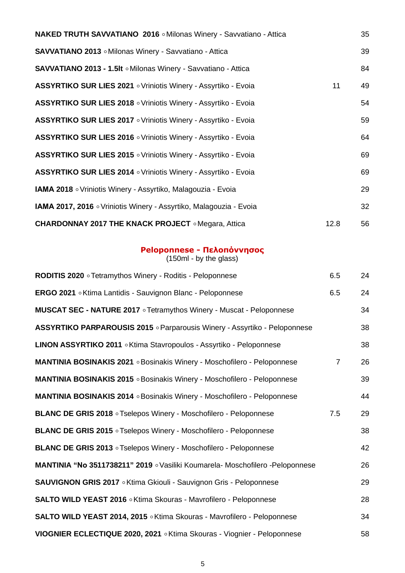| <b>NAKED TRUTH SAVVATIANO 2016</b> . Milonas Winery - Savvatiano - Attica |      | 35 |
|---------------------------------------------------------------------------|------|----|
| SAVVATIANO 2013 . Milonas Winery - Savvatiano - Attica                    |      | 39 |
| SAVVATIANO 2013 - 1.5It . Milonas Winery - Savvatiano - Attica            |      | 84 |
| <b>ASSYRTIKO SUR LIES 2021</b> • Vriniotis Winery - Assyrtiko - Evoia     | 11   | 49 |
| <b>ASSYRTIKO SUR LIES 2018</b> • Vriniotis Winery - Assyrtiko - Evoia     |      | 54 |
| <b>ASSYRTIKO SUR LIES 2017</b> • Vriniotis Winery - Assyrtiko - Evoia     |      | 59 |
| <b>ASSYRTIKO SUR LIES 2016</b> • Vriniotis Winery - Assyrtiko - Evoia     |      | 64 |
| <b>ASSYRTIKO SUR LIES 2015</b> • Vriniotis Winery - Assyrtiko - Evoia     |      | 69 |
| ASSYRTIKO SUR LIES 2014 o Vriniotis Winery - Assyrtiko - Evoia            |      | 69 |
| <b>IAMA 2018</b> • Vriniotis Winery - Assyrtiko, Malagouzia - Evoia       |      | 29 |
| IAMA 2017, 2016 o Vriniotis Winery - Assyrtiko, Malagouzia - Evoia        |      | 32 |
| <b>CHARDONNAY 2017 THE KNACK PROJECT</b> • Megara, Attica                 | 12.8 | 56 |

#### **Peloponnese - Πελοπόννησος**

| <b>RODITIS 2020</b> • Tetramythos Winery - Roditis - Peloponnese               | 6.5            | 24 |
|--------------------------------------------------------------------------------|----------------|----|
| ERGO 2021 . Ktima Lantidis - Sauvignon Blanc - Peloponnese                     | 6.5            | 24 |
| <b>MUSCAT SEC - NATURE 2017</b> • Tetramythos Winery - Muscat - Peloponnese    |                | 34 |
| ASSYRTIKO PARPAROUSIS 2015 . Parparousis Winery - Assyrtiko - Peloponnese      |                | 38 |
| LINON ASSYRTIKO 2011 . Ktima Stavropoulos - Assyrtiko - Peloponnese            |                | 38 |
| <b>MANTINIA BOSINAKIS 2021</b> . Bosinakis Winery - Moschofilero - Peloponnese | $\overline{7}$ | 26 |
| <b>MANTINIA BOSINAKIS 2015</b> • Bosinakis Winery - Moschofilero - Peloponnese |                | 39 |
| <b>MANTINIA BOSINAKIS 2014</b> . Bosinakis Winery - Moschofilero - Peloponnese |                | 44 |
| <b>BLANC DE GRIS 2018</b> • Tselepos Winery - Moschofilero - Peloponnese       | 7.5            | 29 |
| <b>BLANC DE GRIS 2015</b> • Tselepos Winery - Moschofilero - Peloponnese       |                | 38 |
| <b>BLANC DE GRIS 2013</b> • Tselepos Winery - Moschofilero - Peloponnese       |                | 42 |
| MANTINIA "No 3511738211" 2019 . Vasiliki Koumarela- Moschofilero -Peloponnese  |                | 26 |
| SAUVIGNON GRIS 2017 . Ktima Gkiouli - Sauvignon Gris - Peloponnese             |                | 29 |
| <b>SALTO WILD YEAST 2016</b> . Ktima Skouras - Mavrofilero - Peloponnese       |                | 28 |
| SALTO WILD YEAST 2014, 2015 . Ktima Skouras - Mavrofilero - Peloponnese        |                | 34 |
| VIOGNIER ECLECTIQUE 2020, 2021 . Ktima Skouras - Viognier - Peloponnese        |                | 58 |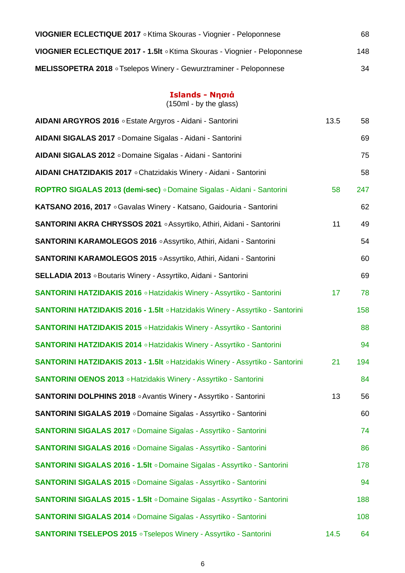| VIOGNIER ECLECTIQUE 2017 . Ktima Skouras - Viognier - Peloponnese         | 68  |
|---------------------------------------------------------------------------|-----|
| VIOGNIER ECLECTIQUE 2017 - 1.5It . Ktima Skouras - Viognier - Peloponnese | 148 |
| <b>MELISSOPETRA 2018</b> • Tselepos Winery - Gewurztraminer - Peloponnese | 34  |

#### **Islands - Νησιά**

| AIDANI ARGYROS 2016 . Estate Argyros - Aidani - Santorini                      | 13.5 | 58  |
|--------------------------------------------------------------------------------|------|-----|
| AIDANI SIGALAS 2017 o Domaine Sigalas - Aidani - Santorini                     |      | 69  |
| AIDANI SIGALAS 2012 . Domaine Sigalas - Aidani - Santorini                     |      | 75  |
| AIDANI CHATZIDAKIS 2017 . Chatzidakis Winery - Aidani - Santorini              |      | 58  |
| ROPTRO SIGALAS 2013 (demi-sec) o Domaine Sigalas - Aidani - Santorini          | 58   | 247 |
| KATSANO 2016, 2017 . Gavalas Winery - Katsano, Gaidouria - Santorini           |      | 62  |
| <b>SANTORINI AKRA CHRYSSOS 2021 .</b> Assyrtiko, Athiri, Aidani - Santorini    | 11   | 49  |
| <b>SANTORINI KARAMOLEGOS 2016 .</b> Assyrtiko, Athiri, Aidani - Santorini      |      | 54  |
| SANTORINI KARAMOLEGOS 2015 . Assyrtiko, Athiri, Aidani - Santorini             |      | 60  |
| SELLADIA 2013 . Boutaris Winery - Assyrtiko, Aidani - Santorini                |      | 69  |
| <b>SANTORINI HATZIDAKIS 2016 • Hatzidakis Winery - Assyrtiko - Santorini</b>   | 17   | 78  |
| SANTORINI HATZIDAKIS 2016 - 1.5It . Hatzidakis Winery - Assyrtiko - Santorini  |      | 158 |
| <b>SANTORINI HATZIDAKIS 2015</b> • Hatzidakis Winery - Assyrtiko - Santorini   |      | 88  |
| <b>SANTORINI HATZIDAKIS 2014</b> • Hatzidakis Winery - Assyrtiko - Santorini   |      | 94  |
| SANTORINI HATZIDAKIS 2013 - 1.5It . Hatzidakis Winery - Assyrtiko - Santorini  | 21   | 194 |
| <b>SANTORINI OENOS 2013 <i>o</i> Hatzidakis Winery - Assyrtiko - Santorini</b> |      | 84  |
| <b>SANTORINI DOLPHINS 2018</b> . Avantis Winery - Assyrtiko - Santorini        | 13   | 56  |
| <b>SANTORINI SIGALAS 2019 <i>o</i> Domaine Sigalas - Assyrtiko - Santorini</b> |      | 60  |
| <b>SANTORINI SIGALAS 2017</b> • Domaine Sigalas - Assyrtiko - Santorini        |      | 74  |
| <b>SANTORINI SIGALAS 2016 · Domaine Sigalas - Assyrtiko - Santorini</b>        |      | 86  |
| SANTORINI SIGALAS 2016 - 1.5It . Domaine Sigalas - Assyrtiko - Santorini       |      | 178 |
| <b>SANTORINI SIGALAS 2015</b> o Domaine Sigalas - Assyrtiko - Santorini        |      | 94  |
| SANTORINI SIGALAS 2015 - 1.5It . Domaine Sigalas - Assyrtiko - Santorini       |      | 188 |
| <b>SANTORINI SIGALAS 2014</b> · Domaine Sigalas - Assyrtiko - Santorini        |      | 108 |
| <b>SANTORINI TSELEPOS 2015</b> • Tselepos Winery - Assyrtiko - Santorini       | 14.5 | 64  |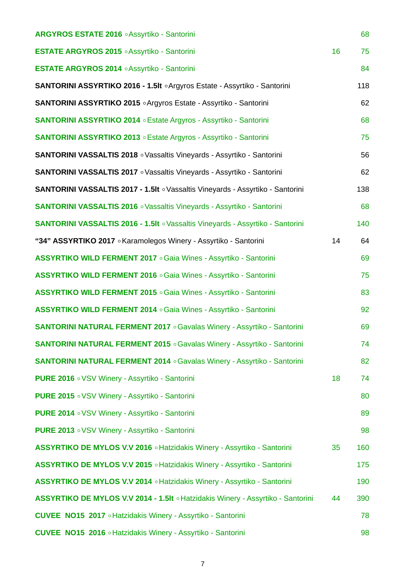| ARGYROS ESTATE 2016 . Assyrtiko - Santorini                                           |    | 68  |
|---------------------------------------------------------------------------------------|----|-----|
|                                                                                       |    |     |
| <b>ESTATE ARGYROS 2015 .</b> Assyrtiko - Santorini                                    | 16 | 75  |
| <b>ESTATE ARGYROS 2014 . Assyrtiko - Santorini</b>                                    |    | 84  |
| SANTORINI ASSYRTIKO 2016 - 1.5It . Argyros Estate - Assyrtiko - Santorini             |    | 118 |
| SANTORINI ASSYRTIKO 2015 • Argyros Estate - Assyrtiko - Santorini                     |    | 62  |
| <b>SANTORINI ASSYRTIKO 2014 <i>CESTAL CALCRY CONTORINI ASSYRTIKO - Santorini</i></b>  |    | 68  |
| SANTORINI ASSYRTIKO 2013 . Estate Argyros - Assyrtiko - Santorini                     |    | 75  |
| <b>SANTORINI VASSALTIS 2018</b> • Vassaltis Vineyards - Assyrtiko - Santorini         |    | 56  |
| <b>SANTORINI VASSALTIS 2017</b> • Vassaltis Vineyards - Assyrtiko - Santorini         |    | 62  |
| <b>SANTORINI VASSALTIS 2017 - 1.5It . Vassaltis Vineyards - Assyrtiko - Santorini</b> |    | 138 |
| <b>SANTORINI VASSALTIS 2016</b> · Vassaltis Vineyards - Assyrtiko - Santorini         |    | 68  |
| <b>SANTORINI VASSALTIS 2016 - 1.5It · Vassaltis Vineyards - Assyrtiko - Santorini</b> |    | 140 |
| "34" ASSYRTIKO 2017 . Karamolegos Winery - Assyrtiko - Santorini                      | 14 | 64  |
| <b>ASSYRTIKO WILD FERMENT 2017</b> • Gaia Wines - Assyrtiko - Santorini               |    | 69  |
| ASSYRTIKO WILD FERMENT 2016 . Gaia Wines - Assyrtiko - Santorini                      |    | 75  |
| ASSYRTIKO WILD FERMENT 2015 . Gaia Wines - Assyrtiko - Santorini                      |    | 83  |
| <b>ASSYRTIKO WILD FERMENT 2014</b> . Gaia Wines - Assyrtiko - Santorini               |    | 92  |
| <b>SANTORINI NATURAL FERMENT 2017</b> . Gavalas Winery - Assyrtiko - Santorini        |    | 69  |
| <b>SANTORINI NATURAL FERMENT 2015</b> • Gavalas Winery - Assyrtiko - Santorini        |    | 74  |
| <b>SANTORINI NATURAL FERMENT 2014 · Gavalas Winery - Assyrtiko - Santorini</b>        |    | 82  |
| <b>PURE 2016</b> • VSV Winery - Assyrtiko - Santorini                                 | 18 | 74  |
| <b>PURE 2015</b> • VSV Winery - Assyrtiko - Santorini                                 |    | 80  |
| <b>PURE 2014</b> • VSV Winery - Assyrtiko - Santorini                                 |    | 89  |
| <b>PURE 2013</b> • VSV Winery - Assyrtiko - Santorini                                 |    | 98  |
| ASSYRTIKO DE MYLOS V.V 2016 . Hatzidakis Winery - Assyrtiko - Santorini               | 35 | 160 |
| ASSYRTIKO DE MYLOS V.V 2015 . Hatzidakis Winery - Assyrtiko - Santorini               |    | 175 |
| ASSYRTIKO DE MYLOS V.V 2014 . Hatzidakis Winery - Assyrtiko - Santorini               |    | 190 |
| ASSYRTIKO DE MYLOS V.V 2014 - 1.5It . Hatzidakis Winery - Assyrtiko - Santorini       | 44 | 390 |
| <b>CUVEE NO15 2017</b> • Hatzidakis Winery - Assyrtiko - Santorini                    |    | 78  |
| <b>CUVEE NO15 2016</b> • Hatzidakis Winery - Assyrtiko - Santorini                    |    | 98  |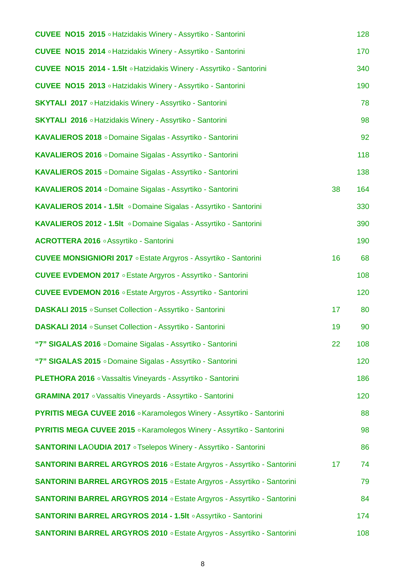| <b>CUVEE NO15 2015</b> • Hatzidakis Winery - Assyrtiko - Santorini                  |                 | 128 |
|-------------------------------------------------------------------------------------|-----------------|-----|
| <b>CUVEE NO15 2014</b> • Hatzidakis Winery - Assyrtiko - Santorini                  |                 | 170 |
| <b>CUVEE NO15 2014 - 1.5It · Hatzidakis Winery - Assyrtiko - Santorini</b>          |                 | 340 |
| <b>CUVEE NO15 2013</b> • Hatzidakis Winery - Assyrtiko - Santorini                  |                 | 190 |
| <b>SKYTALI 2017</b> • Hatzidakis Winery - Assyrtiko - Santorini                     |                 | 78  |
| <b>SKYTALI 2016</b> • Hatzidakis Winery - Assyrtiko - Santorini                     |                 | 98  |
| KAVALIEROS 2018 . Domaine Sigalas - Assyrtiko - Santorini                           |                 | 92  |
| KAVALIEROS 2016 . Domaine Sigalas - Assyrtiko - Santorini                           |                 | 118 |
| KAVALIEROS 2015 o Domaine Sigalas - Assyrtiko - Santorini                           |                 | 138 |
| KAVALIEROS 2014 o Domaine Sigalas - Assyrtiko - Santorini                           | 38              | 164 |
| KAVALIEROS 2014 - 1.5It . Domaine Sigalas - Assyrtiko - Santorini                   |                 | 330 |
| KAVALIEROS 2012 - 1.5It . Domaine Sigalas - Assyrtiko - Santorini                   |                 | 390 |
| ACROTTERA 2016 . Assyrtiko - Santorini                                              |                 | 190 |
| <b>CUVEE MONSIGNIORI 2017 <i>CState Argyros - Assyrtiko - Santorini</i></b>         | 16              | 68  |
| <b>CUVEE EVDEMON 2017</b> • Estate Argyros - Assyrtiko - Santorini                  |                 | 108 |
| <b>CUVEE EVDEMON 2016</b> • Estate Argyros - Assyrtiko - Santorini                  |                 | 120 |
| <b>DASKALI 2015</b> • Sunset Collection - Assyrtiko - Santorini                     | 17              | 80  |
| DASKALI 2014 . Sunset Collection - Assyrtiko - Santorini                            | 19              | 90  |
| "7" SIGALAS 2016 . Domaine Sigalas - Assyrtiko - Santorini                          | 22              | 108 |
| "7" SIGALAS 2015 o Domaine Sigalas - Assyrtiko - Santorini                          |                 | 120 |
| <b>PLETHORA 2016</b> • Vassaltis Vineyards - Assyrtiko - Santorini                  |                 | 186 |
| <b>GRAMINA 2017</b> • Vassaltis Vineyards - Assyrtiko - Santorini                   |                 | 120 |
| <b>PYRITIS MEGA CUVEE 2016 · Karamolegos Winery - Assyrtiko - Santorini</b>         |                 | 88  |
| <b>PYRITIS MEGA CUVEE 2015 <i>CKaramolegos Winery - Assyrtiko - Santorini</i></b>   |                 | 98  |
| <b>SANTORINI LAOUDIA 2017</b> • Tselepos Winery - Assyrtiko - Santorini             |                 | 86  |
| <b>SANTORINI BARREL ARGYROS 2016 <i>CEstate Argyros - Assyrtiko - Santorini</i></b> | 17 <sub>2</sub> | 74  |
| <b>SANTORINI BARREL ARGYROS 2015 <i>CEstate Argyros - Assyrtiko - Santorini</i></b> |                 | 79  |
| <b>SANTORINI BARREL ARGYROS 2014 <i>CEstate Argyros - Assyrtiko - Santorini</i></b> |                 | 84  |
| SANTORINI BARREL ARGYROS 2014 - 1.5It . Assyrtiko - Santorini                       |                 | 174 |
| <b>SANTORINI BARREL ARGYROS 2010 <i>CESTALE Argyros - Assyrtiko - Santorini</i></b> |                 | 108 |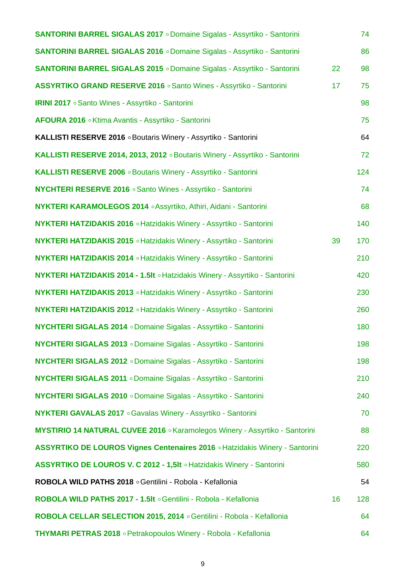| <b>SANTORINI BARREL SIGALAS 2017</b> o Domaine Sigalas - Assyrtiko - Santorini   |    | 74  |
|----------------------------------------------------------------------------------|----|-----|
| <b>SANTORINI BARREL SIGALAS 2016</b> . Domaine Sigalas - Assyrtiko - Santorini   |    | 86  |
| <b>SANTORINI BARREL SIGALAS 2015 · Domaine Sigalas - Assyrtiko - Santorini</b>   | 22 | 98  |
| ASSYRTIKO GRAND RESERVE 2016 . Santo Wines - Assyrtiko - Santorini               | 17 | 75  |
| <b>IRINI 2017</b> • Santo Wines - Assyrtiko - Santorini                          |    | 98  |
| AFOURA 2016 . Ktima Avantis - Assyrtiko - Santorini                              |    | 75  |
| KALLISTI RESERVE 2016 . Boutaris Winery - Assyrtiko - Santorini                  |    | 64  |
| KALLISTI RESERVE 2014, 2013, 2012 . Boutaris Winery - Assyrtiko - Santorini      |    | 72  |
| KALLISTI RESERVE 2006 . Boutaris Winery - Assyrtiko - Santorini                  |    | 124 |
| <b>NYCHTERI RESERVE 2016</b> . Santo Wines - Assyrtiko - Santorini               |    | 74  |
| <b>NYKTERI KARAMOLEGOS 2014 · Assyrtiko, Athiri, Aidani - Santorini</b>          |    | 68  |
| <b>NYKTERI HATZIDAKIS 2016 • Hatzidakis Winery - Assyrtiko - Santorini</b>       |    | 140 |
| <b>NYKTERI HATZIDAKIS 2015 • Hatzidakis Winery - Assyrtiko - Santorini</b>       | 39 | 170 |
| <b>NYKTERI HATZIDAKIS 2014 · Hatzidakis Winery - Assyrtiko - Santorini</b>       |    | 210 |
| NYKTERI HATZIDAKIS 2014 - 1.5It ∘ Hatzidakis Winery - Assyrtiko - Santorini      |    | 420 |
| <b>NYKTERI HATZIDAKIS 2013 <i>CHatzidakis Winery - Assyrtiko - Santorini</i></b> |    | 230 |
| <b>NYKTERI HATZIDAKIS 2012 · Hatzidakis Winery - Assyrtiko - Santorini</b>       |    | 260 |
| NYCHTERI SIGALAS 2014 . Domaine Sigalas - Assyrtiko - Santorini                  |    | 180 |
| NYCHTERI SIGALAS 2013 o Domaine Sigalas - Assyrtiko - Santorini                  |    | 198 |
| <b>NYCHTERI SIGALAS 2012</b> o Domaine Sigalas - Assyrtiko - Santorini           |    | 198 |
| NYCHTERI SIGALAS 2011 . Domaine Sigalas - Assyrtiko - Santorini                  |    | 210 |
| <b>NYCHTERI SIGALAS 2010</b> · Domaine Sigalas - Assyrtiko - Santorini           |    | 240 |
| <b>NYKTERI GAVALAS 2017</b> • Gavalas Winery - Assyrtiko - Santorini             |    | 70  |
| MYSTIRIO 14 NATURAL CUVEE 2016 . Karamolegos Winery - Assyrtiko - Santorini      |    | 88  |
| ASSYRTIKO DE LOUROS Vignes Centenaires 2016 • Hatzidakis Winery - Santorini      |    | 220 |
| ASSYRTIKO DE LOUROS V. C 2012 - 1,5It . Hatzidakis Winery - Santorini            |    | 580 |
| ROBOLA WILD PATHS 2018 . Gentilini - Robola - Kefallonia                         |    | 54  |
| ROBOLA WILD PATHS 2017 - 1.5It . Gentilini - Robola - Kefallonia                 | 16 | 128 |
| ROBOLA CELLAR SELECTION 2015, 2014 . Gentilini - Robola - Kefallonia             |    | 64  |
| <b>THYMARI PETRAS 2018</b> • Petrakopoulos Winery - Robola - Kefallonia          |    | 64  |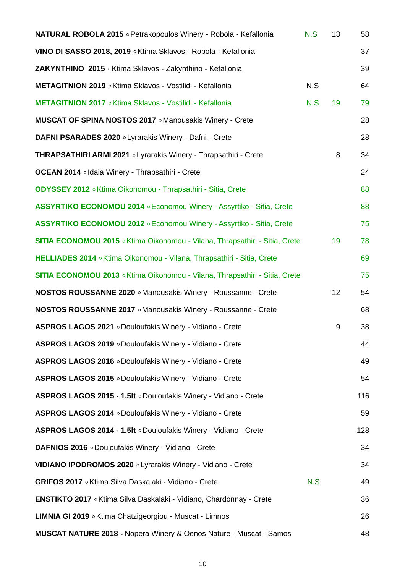| <b>NATURAL ROBOLA 2015</b> • Petrakopoulos Winery - Robola - Kefallonia        | N.S | 13 | 58  |
|--------------------------------------------------------------------------------|-----|----|-----|
| VINO DI SASSO 2018, 2019 . Ktima Sklavos - Robola - Kefallonia                 |     |    | 37  |
| ZAKYNTHINO 2015 o Ktima Sklavos - Zakynthino - Kefallonia                      |     |    | 39  |
| METAGITNION 2019 . Ktima Sklavos - Vostilidi - Kefallonia                      | N.S |    | 64  |
| METAGITNION 2017 . Ktima Sklavos - Vostilidi - Kefallonia                      | N.S | 19 | 79  |
| <b>MUSCAT OF SPINA NOSTOS 2017</b> • Manousakis Winery - Crete                 |     |    | 28  |
| DAFNI PSARADES 2020 . Lyrarakis Winery - Dafni - Crete                         |     |    | 28  |
| <b>THRAPSATHIRI ARMI 2021 <i>.</i></b> Lyrarakis Winery - Thrapsathiri - Crete |     | 8  | 34  |
| <b>OCEAN 2014</b> . Idaia Winery - Thrapsathiri - Crete                        |     |    | 24  |
| ODYSSEY 2012 . Ktima Oikonomou - Thrapsathiri - Sitia, Crete                   |     |    | 88  |
| ASSYRTIKO ECONOMOU 2014 . Economou Winery - Assyrtiko - Sitia, Crete           |     |    | 88  |
| ASSYRTIKO ECONOMOU 2012 . Economou Winery - Assyrtiko - Sitia, Crete           |     |    | 75  |
| SITIA ECONOMOU 2015 . Ktima Oikonomou - Vilana, Thrapsathiri - Sitia, Crete    |     | 19 | 78  |
| HELLIADES 2014 . Ktima Oikonomou - Vilana, Thrapsathiri - Sitia, Crete         |     |    | 69  |
| SITIA ECONOMOU 2013 . Ktima Oikonomou - Vilana, Thrapsathiri - Sitia, Crete    |     |    | 75  |
| <b>NOSTOS ROUSSANNE 2020</b> • Manousakis Winery - Roussanne - Crete           |     | 12 | 54  |
| <b>NOSTOS ROUSSANNE 2017</b> • Manousakis Winery - Roussanne - Crete           |     |    | 68  |
| ASPROS LAGOS 2021 . Douloufakis Winery - Vidiano - Crete                       |     | 9  | 38  |
| ASPROS LAGOS 2019 . Douloufakis Winery - Vidiano - Crete                       |     |    | 44  |
| ASPROS LAGOS 2016 . Douloufakis Winery - Vidiano - Crete                       |     |    | 49  |
| ASPROS LAGOS 2015 . Douloufakis Winery - Vidiano - Crete                       |     |    | 54  |
| ASPROS LAGOS 2015 - 1.5It . Douloufakis Winery - Vidiano - Crete               |     |    | 116 |
| ASPROS LAGOS 2014 . Douloufakis Winery - Vidiano - Crete                       |     |    | 59  |
| ASPROS LAGOS 2014 - 1.5It . Douloufakis Winery - Vidiano - Crete               |     |    | 128 |
| DAFNIOS 2016 . Douloufakis Winery - Vidiano - Crete                            |     |    | 34  |
| VIDIANO IPODROMOS 2020 . Lyrarakis Winery - Vidiano - Crete                    |     |    | 34  |
| GRIFOS 2017 . Ktima Silva Daskalaki - Vidiano - Crete                          | N.S |    | 49  |
| ENSTIKTO 2017 . Ktima Silva Daskalaki - Vidiano, Chardonnay - Crete            |     |    | 36  |
| LIMNIA GI 2019 . Ktima Chatzigeorgiou - Muscat - Limnos                        |     |    | 26  |
| <b>MUSCAT NATURE 2018</b> • Nopera Winery & Oenos Nature - Muscat - Samos      |     |    | 48  |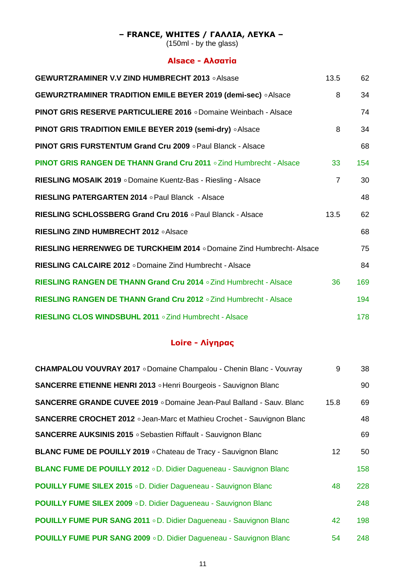## **– FRANCE, WHITES / ΓΑΛΛΙΑ, ΛΕΥΚΑ –**

(150ml - by the glass)

## **Alsace - Αλσατία**

| <b>GEWURTZRAMINER V.V ZIND HUMBRECHT 2013 . Alsase</b>                           | 13.5           | 62  |
|----------------------------------------------------------------------------------|----------------|-----|
| <b>GEWURZTRAMINER TRADITION EMILE BEYER 2019 (demi-sec)</b> . Alsace             | 8              | 34  |
| <b>PINOT GRIS RESERVE PARTICULIERE 2016 o Domaine Weinbach - Alsace</b>          |                | 74  |
| <b>PINOT GRIS TRADITION EMILE BEYER 2019 (semi-dry) .</b> Alsace                 | 8              | 34  |
| <b>PINOT GRIS FURSTENTUM Grand Cru 2009</b> • Paul Blanck - Alsace               |                | 68  |
| <b>PINOT GRIS RANGEN DE THANN Grand Cru 2011</b> $\circ$ Zind Humbrecht - Alsace | 33             | 154 |
| RIESLING MOSAIK 2019 . Domaine Kuentz-Bas - Riesling - Alsace                    | $\overline{7}$ | 30  |
| RIESLING PATERGARTEN 2014 o Paul Blanck - Alsace                                 |                | 48  |
| RIESLING SCHLOSSBERG Grand Cru 2016 . Paul Blanck - Alsace                       | 13.5           | 62  |
| RIESLING ZIND HUMBRECHT 2012 . Alsace                                            |                | 68  |
| RIESLING HERRENWEG DE TURCKHEIM 2014 . Domaine Zind Humbrecht-Alsace             |                | 75  |
| <b>RIESLING CALCAIRE 2012</b> o Domaine Zind Humbrecht - Alsace                  |                | 84  |
| RIESLING RANGEN DE THANN Grand Cru 2014 o Zind Humbrecht - Alsace                | 36             | 169 |
| RIESLING RANGEN DE THANN Grand Cru 2012 . Zind Humbrecht - Alsace                |                | 194 |
| RIESLING CLOS WINDSBUHL 2011 . Zind Humbrecht - Alsace                           |                | 178 |

## **Loire - Λίγηρας**

| <b>CHAMPALOU VOUVRAY 2017</b> . Domaine Champalou - Chenin Blanc - Vouvray    | 9               | 38  |
|-------------------------------------------------------------------------------|-----------------|-----|
| SANCERRE ETIENNE HENRI 2013 . Henri Bourgeois - Sauvignon Blanc               |                 | 90  |
| <b>SANCERRE GRANDE CUVEE 2019</b> o Domaine Jean-Paul Balland - Sauv. Blanc   | 15.8            | 69  |
| <b>SANCERRE CROCHET 2012 o Jean-Marc et Mathieu Crochet - Sauvignon Blanc</b> |                 | 48  |
| <b>SANCERRE AUKSINIS 2015</b> . Sebastien Riffault - Sauvignon Blanc          |                 | 69  |
| BLANC FUME DE POUILLY 2019 . Chateau de Tracy - Sauvignon Blanc               | 12 <sup>°</sup> | 50  |
| BLANC FUME DE POUILLY 2012 . D. Didier Dagueneau - Sauvignon Blanc            |                 | 158 |
| <b>POUILLY FUME SILEX 2015</b> oD. Didier Dagueneau - Sauvignon Blanc         | 48              | 228 |
| <b>POUILLY FUME SILEX 2009 . D. Didier Dagueneau - Sauvignon Blanc</b>        |                 | 248 |
| <b>POUILLY FUME PUR SANG 2011</b> o D. Didier Dagueneau - Sauvignon Blanc     | 42              | 198 |
| <b>POUILLY FUME PUR SANG 2009</b> o D. Didier Dagueneau - Sauvignon Blanc     | 54              | 248 |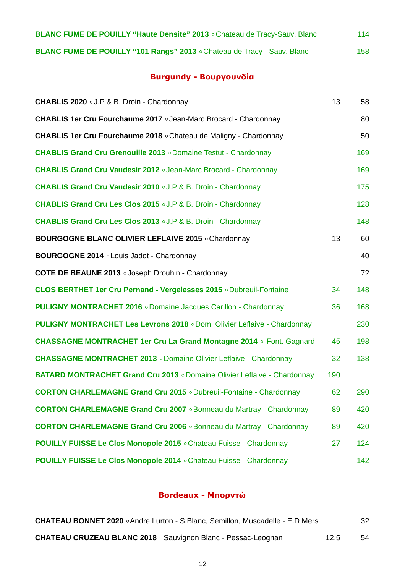| <b>BLANC FUME DE POUILLY "Haute Densite" 2013</b> . Chateau de Tracy-Sauv. Blanc | 114 |
|----------------------------------------------------------------------------------|-----|
| BLANC FUME DE POUILLY "101 Rangs" 2013 . Chateau de Tracy - Sauv. Blanc          | 158 |

# **Burgundy - Βουργουνδία**

| CHABLIS 2020 .J.P & B. Droin - Chardonnay                                       | 13  | 58  |
|---------------------------------------------------------------------------------|-----|-----|
| <b>CHABLIS 1er Cru Fourchaume 2017 <i>o</i> Jean-Marc Brocard - Chardonnay</b>  |     | 80  |
| <b>CHABLIS 1er Cru Fourchaume 2018</b> • Chateau de Maligny - Chardonnay        |     | 50  |
| <b>CHABLIS Grand Cru Grenouille 2013</b> o Domaine Testut - Chardonnay          |     | 169 |
| <b>CHABLIS Grand Cru Vaudesir 2012</b> . Jean-Marc Brocard - Chardonnay         |     | 169 |
| <b>CHABLIS Grand Cru Vaudesir 2010 .J.P &amp; B. Droin - Chardonnay</b>         |     | 175 |
| <b>CHABLIS Grand Cru Les Clos 2015 o J.P &amp; B. Droin - Chardonnay</b>        |     | 128 |
| <b>CHABLIS Grand Cru Les Clos 2013</b> o J.P & B. Droin - Chardonnay            |     | 148 |
| <b>BOURGOGNE BLANC OLIVIER LEFLAIVE 2015</b> o Chardonnay                       | 13  | 60  |
| BOURGOGNE 2014 . Louis Jadot - Chardonnay                                       |     | 40  |
| <b>COTE DE BEAUNE 2013</b> . Joseph Drouhin - Chardonnay                        |     | 72  |
| <b>CLOS BERTHET 1er Cru Pernand - Vergelesses 2015</b> o Dubreuil-Fontaine      | 34  | 148 |
| <b>PULIGNY MONTRACHET 2016 · Domaine Jacques Carillon - Chardonnay</b>          | 36  | 168 |
| <b>PULIGNY MONTRACHET Les Levrons 2018 o Dom. Olivier Leflaive - Chardonnay</b> |     | 230 |
| <b>CHASSAGNE MONTRACHET 1er Cru La Grand Montagne 2014</b> o Font. Gagnard      | 45  | 198 |
| <b>CHASSAGNE MONTRACHET 2013</b> o Domaine Olivier Leflaive - Chardonnay        | 32  | 138 |
| <b>BATARD MONTRACHET Grand Cru 2013</b> o Domaine Olivier Leflaive - Chardonnay | 190 |     |
| <b>CORTON CHARLEMAGNE Grand Cru 2015</b> o Dubreuil-Fontaine - Chardonnay       | 62  | 290 |
| <b>CORTON CHARLEMAGNE Grand Cru 2007</b> . Bonneau du Martray - Chardonnay      | 89  | 420 |
| <b>CORTON CHARLEMAGNE Grand Cru 2006</b> . Bonneau du Martray - Chardonnay      | 89  | 420 |
| <b>POUILLY FUISSE Le Clos Monopole 2015</b> • Chateau Fuisse - Chardonnay       | 27  | 124 |
| <b>POUILLY FUISSE Le Clos Monopole 2014</b> $\circ$ Chateau Fuisse - Chardonnay |     | 142 |

## **Bordeaux - Μπορντώ**

| <b>CHATEAU BONNET 2020</b> . Andre Lurton - S. Blanc, Semillon, Muscadelle - E.D Mers |      | 32 |
|---------------------------------------------------------------------------------------|------|----|
| <b>CHATEAU CRUZEAU BLANC 2018 • Sauvignon Blanc - Pessac-Leognan</b>                  | 12.5 | 54 |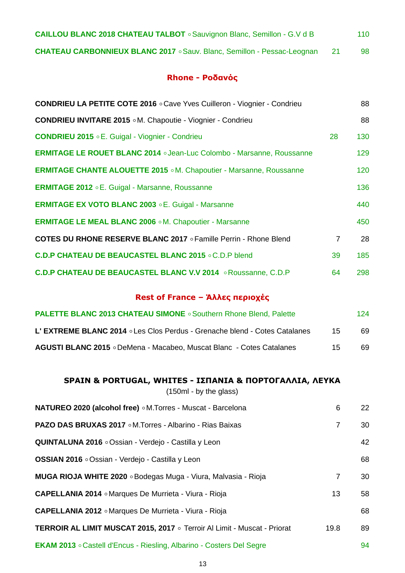| <b>CAILLOU BLANC 2018 CHATEAU TALBOT</b> . Sauvignon Blanc, Semillon - G.V d B | 110 |
|--------------------------------------------------------------------------------|-----|
| <b>CHATEAU CARBONNIEUX BLANC 2017</b> . Sauv. Blanc, Semillon - Pessac-Leognan | 98  |

### **Rhone - Ροδανός**

| <b>CONDRIEU LA PETITE COTE 2016</b> $\circ$ Cave Yves Cuilleron - Viognier - Condrieu |                | 88  |
|---------------------------------------------------------------------------------------|----------------|-----|
| <b>CONDRIEU INVITARE 2015 .M. Chapoutie - Viognier - Condrieu</b>                     |                | 88  |
| <b>CONDRIEU 2015 E. Guigal - Viognier - Condrieu</b>                                  | 28             | 130 |
| <b>ERMITAGE LE ROUET BLANC 2014 .</b> Jean-Luc Colombo - Marsanne, Roussanne          |                | 129 |
| <b>ERMITAGE CHANTE ALOUETTE 2015 .M. Chapoutier - Marsanne, Roussanne</b>             |                | 120 |
| <b>ERMITAGE 2012 <i>C.</i></b> Guigal - Marsanne, Roussanne                           |                | 136 |
| <b>ERMITAGE EX VOTO BLANC 2003 E. Guigal - Marsanne</b>                               |                | 440 |
| <b>ERMITAGE LE MEAL BLANC 2006 .M. Chapoutier - Marsanne</b>                          |                | 450 |
| <b>COTES DU RHONE RESERVE BLANC 2017 <i>o</i> Famille Perrin - Rhone Blend</b>        | $\overline{7}$ | 28  |
| <b>C.D.P CHATEAU DE BEAUCASTEL BLANC 2015 . C.D.P blend</b>                           | 39             | 185 |
| <b>C.D.P CHATEAU DE BEAUCASTEL BLANC V.V 2014</b> . Roussanne, C.D.P                  | 64             | 298 |

## **Rest of France – Άλλες περιοχές**

| <b>PALETTE BLANC 2013 CHATEAU SIMONE</b> . Southern Rhone Blend, Palette    |     | 124 |
|-----------------------------------------------------------------------------|-----|-----|
| L'EXTREME BLANC 2014 ° Les Clos Perdus - Grenache blend - Cotes Catalanes   | -15 | 69. |
| <b>AGUSTI BLANC 2015</b> • DeMena - Macabeo, Muscat Blanc - Cotes Catalanes | 15. | 69. |

## **SPAIN & PORTUGAL, WHITES - ΙΣΠΑΝΙΑ & ΠΟΡΤΟΓΑΛΛΙΑ, ΛΕΥΚΑ**

| NATUREO 2020 (alcohol free) o M.Torres - Muscat - Barcelona                 | 6              | 22 |
|-----------------------------------------------------------------------------|----------------|----|
| <b>PAZO DAS BRUXAS 2017</b> o M. Torres - Albarino - Rias Baixas            | $\overline{7}$ | 30 |
| QUINTALUNA 2016 . Ossian - Verdejo - Castilla y Leon                        |                | 42 |
| <b>OSSIAN 2016</b> ∘Ossian - Verdejo - Castilla y Leon                      |                | 68 |
| <b>MUGA RIOJA WHITE 2020</b> . Bodegas Muga - Viura, Malvasia - Rioja       | $\overline{7}$ | 30 |
| <b>CAPELLANIA 2014</b> • Marques De Murrieta - Viura - Rioja                | 13             | 58 |
| <b>CAPELLANIA 2012</b> • Marques De Murrieta - Viura - Rioja                |                | 68 |
| TERROIR AL LIMIT MUSCAT 2015, 2017 o Terroir Al Limit - Muscat - Priorat    | 19.8           | 89 |
| <b>EKAM 2013</b> . Castell d'Encus - Riesling, Albarino - Costers Del Segre |                | 94 |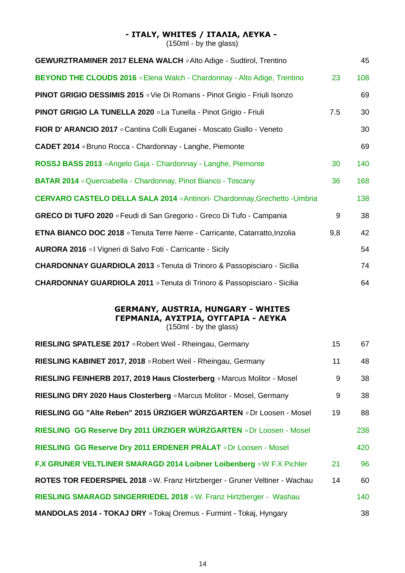### **- ITALY, WHITES / ΙΤΑΛΙΑ, ΛΕΥΚΑ -**

 $(150ml - by the glass)$ 

| <b>GEWURZTRAMINER 2017 ELENA WALCH . Alto Adige - Sudtirol, Trentino</b>           |     | 45  |
|------------------------------------------------------------------------------------|-----|-----|
| BEYOND THE CLOUDS 2016 . Elena Walch - Chardonnay - Alto Adige, Trentino           | 23  | 108 |
| <b>PINOT GRIGIO DESSIMIS 2015</b> . Vie Di Romans - Pinot Grigio - Friuli Isonzo   |     | 69  |
| <b>PINOT GRIGIO LA TUNELLA 2020 </b> La Tunella - Pinot Grigio - Friuli            | 7.5 | 30  |
| FIOR D'ARANCIO 2017 . Cantina Colli Euganei - Moscato Giallo - Veneto              |     | 30  |
| <b>CADET 2014</b> . Bruno Rocca - Chardonnay - Langhe, Piemonte                    |     | 69  |
| ROSSJ BASS 2013 . Angelo Gaja - Chardonnay - Langhe, Piemonte                      | 30  | 140 |
| <b>BATAR 2014</b> . Querciabella - Chardonnay, Pinot Bianco - Toscany              | 36  | 168 |
| <b>CERVARO CASTELO DELLA SALA 2014 . Antinori- Chardonnay, Grechetto - Umbria</b>  |     | 138 |
| GRECO DI TUFO 2020 . Feudi di San Gregorio - Greco Di Tufo - Campania              | 9   | 38  |
| <b>ETNA BIANCO DOC 2018</b> ∘ Tenuta Terre Nerre - Carricante, Catarratto, Inzolia | 9,8 | 42  |
| AURORA 2016 ol Vigneri di Salvo Foti - Carricante - Sicily                         |     | 54  |
| CHARDONNAY GUARDIOLA 2013 ∘ Tenuta di Trinoro & Passopisciaro - Sicilia            |     | 74  |
| CHARDONNAY GUARDIOLA 2011 ∘ Tenuta di Trinoro & Passopisciaro - Sicilia            |     | 64  |

### **GERMANY, AUSTRIA, HUNGARY - WHITES ΓΕΡΜΑΝΙΑ, ΑΥΣΤΡΙΑ, ΟΥΓΓΑΡΙΑ - ΛΕΥΚΑ**  (150ml - by the glass)

| 15 <sub>1</sub> | 67  |
|-----------------|-----|
| 11              | 48  |
| 9               | 38  |
| 9               | 38  |
| 19              | 88  |
|                 | 238 |
|                 | 420 |
| 21              | 96  |
| 14              | 60  |
|                 | 140 |
|                 | 38  |
|                 |     |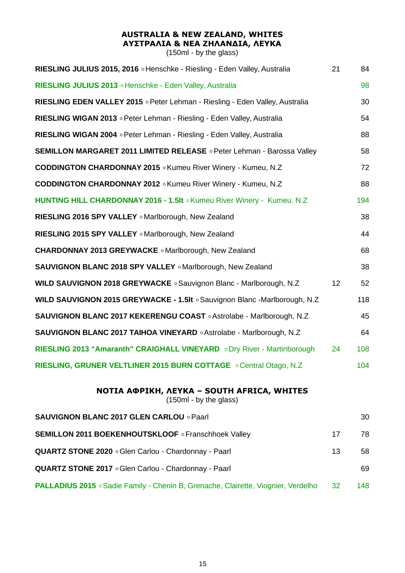## **AUSTRALIA & NEW ZEALAND, WHITES ΑΥΣΤΡΑΛΙΑ & ΝΕΑ ΖΗΛΑΝΔΙΑ, ΛΕΥΚΑ**

| RIESLING JULIUS 2015, 2016 . Henschke - Riesling - Eden Valley, Australia     | 21 | 84  |
|-------------------------------------------------------------------------------|----|-----|
| RIESLING JULIUS 2013 • Henschke - Eden Valley, Australia                      |    | 98  |
| RIESLING EDEN VALLEY 2015 ∘ Peter Lehman - Riesling - Eden Valley, Australia  |    | 30  |
| RIESLING WIGAN 2013 . Peter Lehman - Riesling - Eden Valley, Australia        |    | 54  |
| RIESLING WIGAN 2004 o Peter Lehman - Riesling - Eden Valley, Australia        |    | 88  |
| <b>SEMILLON MARGARET 2011 LIMITED RELEASE . Peter Lehman - Barossa Valley</b> |    | 58  |
| CODDINGTON CHARDONNAY 2015 . Kumeu River Winery - Kumeu, N.Z.                 |    | 72  |
| <b>CODDINGTON CHARDONNAY 2012</b> . Kumeu River Winery - Kumeu, N.Z.          |    | 88  |
| HUNTING HILL CHARDONNAY 2016 - 1.5It . Kumeu River Winery - Kumeu. N.Z        |    | 194 |
| RIESLING 2016 SPY VALLEY . Marlborough, New Zealand                           |    | 38  |
| RIESLING 2015 SPY VALLEY . Marlborough, New Zealand                           |    | 44  |
| <b>CHARDONNAY 2013 GREYWACKE .</b> Marlborough, New Zealand                   |    | 68  |
| SAUVIGNON BLANC 2018 SPY VALLEY . Marlborough, New Zealand                    |    | 38  |
| WILD SAUVIGNON 2018 GREYWACKE . Sauvignon Blanc - Marlborough, N.Z            | 12 | 52  |
| WILD SAUVIGNON 2015 GREYWACKE - 1.5It . Sauvignon Blanc - Marlborough, N.Z    |    | 118 |
| SAUVIGNON BLANC 2017 KEKERENGU COAST . Astrolabe - Marlborough, N.Z.          |    | 45  |
| SAUVIGNON BLANC 2017 TAIHOA VINEYARD . Astrolabe - Marlborough, N.Z           |    | 64  |
| RIESLING 2013 "Amaranth" CRAIGHALL VINEYARD . Dry River - Martinborough       | 24 | 108 |
| RIESLING, GRUNER VELTLINER 2015 BURN COTTAGE . Central Otago, N.Z.            |    | 104 |
| NOTIA AФPIKH, ΛΕΥΚΑ - SOUTH AFRICA, WHITES<br>(150ml - by the glass)          |    |     |
| <b>SAUVIGNON BLANC 2017 GLEN CARLOU · Paarl</b>                               |    | 30  |

| <b>SEMILLON 2011 BOEKENHOUTSKLOOF</b> • Franschhoek Valley                               | 17  | 78.  |
|------------------------------------------------------------------------------------------|-----|------|
| QUARTZ STONE 2020 . Glen Carlou - Chardonnay - Paarl                                     | 13  | 58.  |
| <b>QUARTZ STONE 2017</b> . Glen Carlou - Chardonnay - Paarl                              |     | 69   |
| <b>PALLADIUS 2015</b> • Sadie Family - Chenin B, Grenache, Clairette, Viognier, Verdelho | -32 | 148. |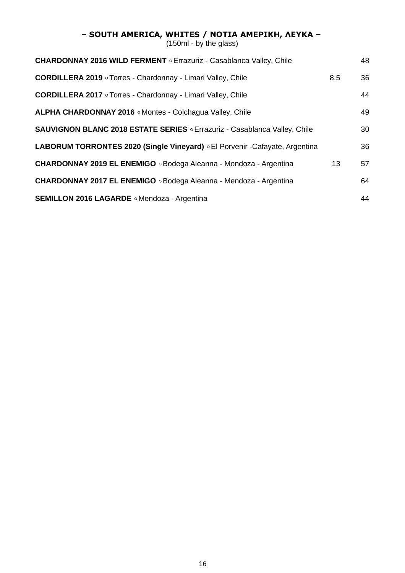#### **– SOUTH AMERICA, WHITES / ΝΟΤΙΑ ΑΜΕΡΙΚΗ, ΛΕΥΚΑ –**

| <b>CHARDONNAY 2016 WILD FERMENT</b> $\circ$ Errazuriz - Casablanca Valley, Chile |                 | 48 |
|----------------------------------------------------------------------------------|-----------------|----|
| <b>CORDILLERA 2019</b> • Torres - Chardonnay - Limari Valley, Chile              | 8.5             | 36 |
| <b>CORDILLERA 2017</b> o Torres - Chardonnay - Limari Valley, Chile              |                 | 44 |
| <b>ALPHA CHARDONNAY 2016</b> • Montes - Colchagua Valley, Chile                  |                 | 49 |
| SAUVIGNON BLANC 2018 ESTATE SERIES . Errazuriz - Casablanca Valley, Chile        |                 | 30 |
| LABORUM TORRONTES 2020 (Single Vineyard) . El Porvenir - Cafayate, Argentina     |                 | 36 |
| CHARDONNAY 2019 EL ENEMIGO . Bodega Aleanna - Mendoza - Argentina                | 13 <sup>2</sup> | 57 |
| CHARDONNAY 2017 EL ENEMIGO . Bodega Aleanna - Mendoza - Argentina                |                 | 64 |
| <b>SEMILLON 2016 LAGARDE</b> • Mendoza - Argentina                               |                 | 44 |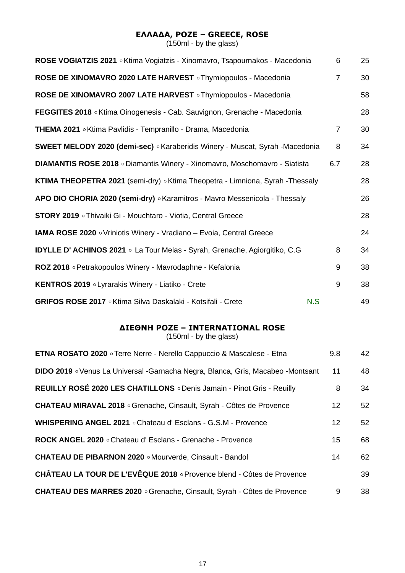## **ΕΛΛΑΔΑ, ΡΟΖΕ – GREECE, ROSE**

(150ml - by the glass)

| ROSE VOGIATZIS 2021 . Ktima Vogiatzis - Xinomavro, Tsapournakos - Macedonia       |     | 6              | 25 |
|-----------------------------------------------------------------------------------|-----|----------------|----|
| ROSE DE XINOMAVRO 2020 LATE HARVEST o Thymiopoulos - Macedonia                    |     | $\overline{7}$ | 30 |
| ROSE DE XINOMAVRO 2007 LATE HARVEST o Thymiopoulos - Macedonia                    |     |                | 58 |
| FEGGITES 2018 • Ktima Oinogenesis - Cab. Sauvignon, Grenache - Macedonia          |     |                | 28 |
| THEMA 2021 . Ktima Pavlidis - Tempranillo - Drama, Macedonia                      |     | $\overline{7}$ | 30 |
| SWEET MELODY 2020 (demi-sec) · Karaberidis Winery - Muscat, Syrah -Macedonia      |     | 8              | 34 |
| DIAMANTIS ROSE 2018 o Diamantis Winery - Xinomavro, Moschomavro - Siatista        |     | 6.7            | 28 |
| KTIMA THEOPETRA 2021 (semi-dry) o Ktima Theopetra - Limniona, Syrah -Thessaly     |     |                | 28 |
| APO DIO CHORIA 2020 (semi-dry) . Karamitros - Mavro Messenicola - Thessaly        |     |                | 26 |
| <b>STORY 2019</b> • Thivaiki Gi - Mouchtaro - Viotia, Central Greece              |     |                | 28 |
| <b>IAMA ROSE 2020</b> • Vriniotis Winery - Vradiano - Evoia, Central Greece       |     |                | 24 |
| <b>IDYLLE D' ACHINOS 2021</b> . La Tour Melas - Syrah, Grenache, Agiorgitiko, C.G |     | 8              | 34 |
| ROZ 2018 • Petrakopoulos Winery - Mavrodaphne - Kefalonia                         |     | 9              | 38 |
| KENTROS 2019 . Lyrarakis Winery - Liatiko - Crete                                 |     | 9              | 38 |
| GRIFOS ROSE 2017 . Ktima Silva Daskalaki - Kotsifali - Crete                      | N.S |                | 49 |

## **ΔΙΕΘΝΗ ΡΟΖΕ – INTERNATIONAL ROSE**

| <b>ETNA ROSATO 2020</b> • Terre Nerre - Nerello Cappuccio & Mascalese - Etna    | 9.8             | 42 |
|---------------------------------------------------------------------------------|-----------------|----|
| DIDO 2019 . Venus La Universal -Garnacha Negra, Blanca, Gris, Macabeo -Montsant | 11              | 48 |
| REUILLY ROSÉ 2020 LES CHATILLONS o Denis Jamain - Pinot Gris - Reuilly          | 8               | 34 |
| <b>CHATEAU MIRAVAL 2018</b> • Grenache, Cinsault, Syrah - Côtes de Provence     | 12              | 52 |
| WHISPERING ANGEL 2021 . Chateau d' Esclans - G.S.M - Provence                   | 12 <sup>°</sup> | 52 |
| ROCK ANGEL 2020 . Chateau d' Esclans - Grenache - Provence                      | 15              | 68 |
| <b>CHATEAU DE PIBARNON 2020</b> $\circ$ Mourverde, Cinsault - Bandol            | 14              | 62 |
| CHÂTEAU LA TOUR DE L'EVÊQUE 2018 o Provence blend - Côtes de Provence           |                 | 39 |
| <b>CHATEAU DES MARRES 2020 · Grenache, Cinsault, Syrah - Côtes de Provence</b>  | 9               | 38 |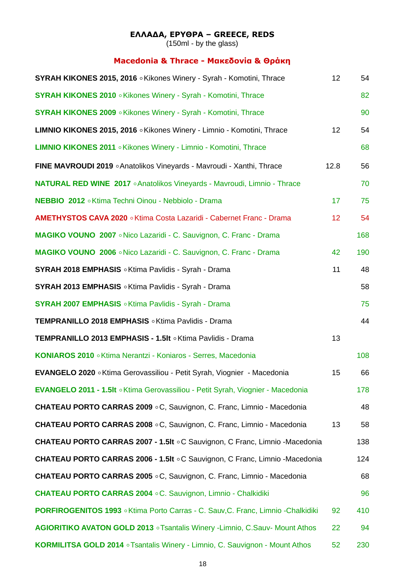#### **ΕΛΛΑΔΑ, ΕΡΥΘΡΑ – GREECE, REDS**

(150ml - by the glass)

## **Macedonia & Thrace - Μακεδονία & Θράκη**

| SYRAH KIKONES 2015, 2016 . Kikones Winery - Syrah - Komotini, Thrace                | 12              | 54  |
|-------------------------------------------------------------------------------------|-----------------|-----|
| <b>SYRAH KIKONES 2010</b> . Kikones Winery - Syrah - Komotini, Thrace               |                 | 82  |
| <b>SYRAH KIKONES 2009</b> . Kikones Winery - Syrah - Komotini, Thrace               |                 | 90  |
| LIMNIO KIKONES 2015, 2016 . Kikones Winery - Limnio - Komotini, Thrace              | 12              | 54  |
| <b>LIMNIO KIKONES 2011</b> . Kikones Winery - Limnio - Komotini, Thrace             |                 | 68  |
| FINE MAVROUDI 2019 . Anatolikos Vineyards - Mavroudi - Xanthi, Thrace               | 12.8            | 56  |
| <b>NATURAL RED WINE 2017</b> • Anatolikos Vineyards - Mavroudi, Limnio - Thrace     |                 | 70  |
| NEBBIO 2012 . Ktima Techni Oinou - Nebbiolo - Drama                                 | 17 <sub>2</sub> | 75  |
| AMETHYSTOS CAVA 2020 . Ktima Costa Lazaridi - Cabernet Franc - Drama                | 12 <sub>2</sub> | 54  |
| MAGIKO VOUNO 2007 . Nico Lazaridi - C. Sauvignon, C. Franc - Drama                  |                 | 168 |
| MAGIKO VOUNO 2006 . Nico Lazaridi - C. Sauvignon, C. Franc - Drama                  | 42              | 190 |
| <b>SYRAH 2018 EMPHASIS</b> . Ktima Pavlidis - Syrah - Drama                         | 11              | 48  |
| SYRAH 2013 EMPHASIS . Ktima Pavlidis - Syrah - Drama                                |                 | 58  |
| <b>SYRAH 2007 EMPHASIS</b> . Ktima Pavlidis - Syrah - Drama                         |                 | 75  |
| TEMPRANILLO 2018 EMPHASIS . Ktima Pavlidis - Drama                                  |                 | 44  |
| TEMPRANILLO 2013 EMPHASIS - 1.5It . Ktima Pavlidis - Drama                          | 13              |     |
| KONIAROS 2010 . Ktima Nerantzi - Koniaros - Serres, Macedonia                       |                 | 108 |
| EVANGELO 2020 . Ktima Gerovassiliou - Petit Syrah, Viognier - Macedonia             | 15              | 66  |
| EVANGELO 2011 - 1.5It . Ktima Gerovassiliou - Petit Syrah, Viognier - Macedonia     |                 | 178 |
| <b>CHATEAU PORTO CARRAS 2009 °C, Sauvignon, C. Franc, Limnio - Macedonia</b>        |                 | 48  |
| <b>CHATEAU PORTO CARRAS 2008 °C, Sauvignon, C. Franc, Limnio - Macedonia</b>        | 13              | 58  |
| <b>CHATEAU PORTO CARRAS 2007 - 1.5It . C Sauvignon, C Franc, Limnio -Macedonia</b>  |                 | 138 |
| CHATEAU PORTO CARRAS 2006 - 1.5It . C Sauvignon, C Franc, Limnio -Macedonia         |                 | 124 |
| <b>CHATEAU PORTO CARRAS 2005 °C, Sauvignon, C. Franc, Limnio - Macedonia</b>        |                 | 68  |
| <b>CHATEAU PORTO CARRAS 2004 . C. Sauvignon, Limnio - Chalkidiki</b>                |                 | 96  |
| PORFIROGENITOS 1993 . Ktima Porto Carras - C. Sauv, C. Franc, Limnio - Chalkidiki   | 92              | 410 |
| <b>AGIORITIKO AVATON GOLD 2013</b> • Tsantalis Winery - Limnio, C.Sauv- Mount Athos | 22              | 94  |
| KORMILITSA GOLD 2014 . Tsantalis Winery - Limnio, C. Sauvignon - Mount Athos        | 52              | 230 |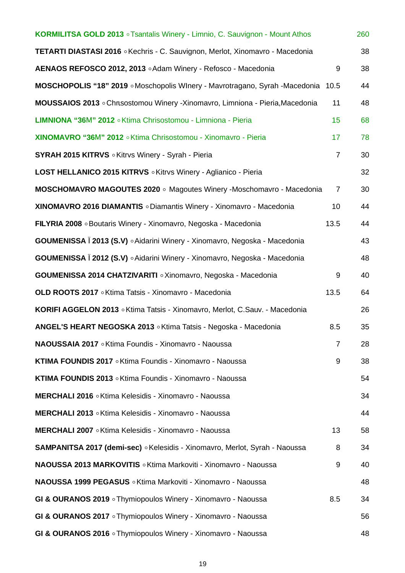| KORMILITSA GOLD 2013 o Tsantalis Winery - Limnio, C. Sauvignon - Mount Athos         |                 | 260 |
|--------------------------------------------------------------------------------------|-----------------|-----|
| <b>TETARTI DIASTASI 2016 .</b> Kechris - C. Sauvignon, Merlot, Xinomavro - Macedonia |                 | 38  |
| AENAOS REFOSCO 2012, 2013 . Adam Winery - Refosco - Macedonia                        | 9               | 38  |
| MOSCHOPOLIS "18" 2019 . Moschopolis WInery - Mavrotragano, Syrah -Macedonia          | 10.5            | 44  |
| MOUSSAIOS 2013 . Chrtsostomou Winery -Xinomavro, Limniona - Pieria, Macedonia        | 11              | 48  |
| LIMNIONA "36M" 2012 . Ktima Chrisostomou - Limniona - Pieria                         | 15              | 68  |
| XINOMAVRO "36M" 2012 . Ktima Chrisostomou - Xinomavro - Pieria                       | 17              | 78  |
| <b>SYRAH 2015 KITRVS</b> . Kitrvs Winery - Syrah - Pieria                            | $\overline{7}$  | 30  |
| LOST HELLANICO 2015 KITRVS . Kitrvs Winery - Aglianico - Pieria                      |                 | 32  |
| <b>MOSCHOMAVRO MAGOUTES 2020</b> • Magoutes Winery -Moschomavro - Macedonia          | $\overline{7}$  | 30  |
| XINOMAVRO 2016 DIAMANTIS o Diamantis Winery - Xinomavro - Macedonia                  | 10 <sup>1</sup> | 44  |
| FILYRIA 2008 • Boutaris Winery - Xinomavro, Negoska - Macedonia                      | 13.5            | 44  |
| GOUMENISSA I 2013 (S.V) $\circ$ Aidarini Winery - Xinomavro, Negoska - Macedonia     |                 | 43  |
| GOUMENISSA Ï 2012 (S.V) . Aidarini Winery - Xinomavro, Negoska - Macedonia           |                 | 48  |
| GOUMENISSA 2014 CHATZIVARITI o Xinomavro, Negoska - Macedonia                        | 9               | 40  |
| OLD ROOTS 2017 . Ktima Tatsis - Xinomavro - Macedonia                                | 13.5            | 64  |
| KORIFI AGGELON 2013 . Ktima Tatsis - Xinomavro, Merlot, C.Sauv. - Macedonia          |                 | 26  |
| ANGEL'S HEART NEGOSKA 2013 . Ktima Tatsis - Negoska - Macedonia                      | 8.5             | 35  |
| NAOUSSAIA 2017 . Ktima Foundis - Xinomavro - Naoussa                                 | $\overline{7}$  | 28  |
| KTIMA FOUNDIS 2017 . Ktima Foundis - Xinomavro - Naoussa                             | 9               | 38  |
| KTIMA FOUNDIS 2013 . Ktima Foundis - Xinomavro - Naoussa                             |                 | 54  |
| MERCHALI 2016 • Ktima Kelesidis - Xinomavro - Naoussa                                |                 | 34  |
| MERCHALI 2013 • Ktima Kelesidis - Xinomavro - Naoussa                                |                 | 44  |
| MERCHALI 2007 • Ktima Kelesidis - Xinomavro - Naoussa                                | 13              | 58  |
| SAMPANITSA 2017 (demi-sec) · Kelesidis - Xinomavro, Merlot, Syrah - Naoussa          | 8               | 34  |
| <b>NAOUSSA 2013 MARKOVITIS</b> ∘ Ktima Markoviti - Xinomavro - Naoussa               | 9               | 40  |
| NAOUSSA 1999 PEGASUS . Ktima Markoviti - Xinomavro - Naoussa                         |                 | 48  |
| GI & OURANOS 2019 o Thymiopoulos Winery - Xinomavro - Naoussa                        | 8.5             | 34  |
| GI & OURANOS 2017 o Thymiopoulos Winery - Xinomavro - Naoussa                        |                 | 56  |
| GI & OURANOS 2016 o Thymiopoulos Winery - Xinomavro - Naoussa                        |                 | 48  |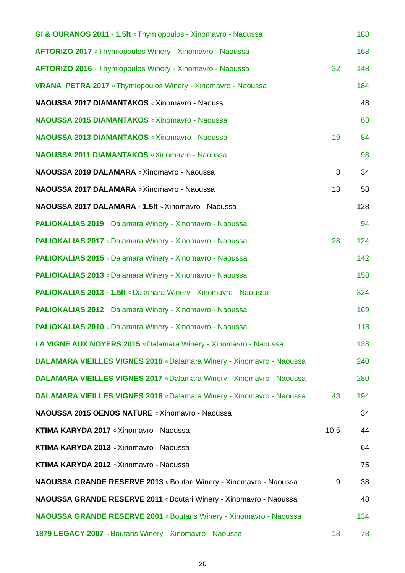| GI & OURANOS 2011 - 1.5It o Thymiopoulos - Xinomavro - Naoussa               |      | 188 |
|------------------------------------------------------------------------------|------|-----|
| AFTORIZO 2017 o Thymiopoulos Winery - Xinomavro - Naoussa                    |      | 168 |
| AFTORIZO 2016 . Thymiopoulos Winery - Xinomavro - Naoussa                    | 32   | 148 |
| <b>VRANA PETRA 2017</b> • Thymiopoulos Winery - Xinomavro - Naoussa          |      | 184 |
| NAOUSSA 2017 DIAMANTAKOS o Xinomavro - Naouss                                |      | 48  |
| <b>NAOUSSA 2015 DIAMANTAKOS · Xinomavro - Naoussa</b>                        |      | 68  |
| <b>NAOUSSA 2013 DIAMANTAKOS · Xinomavro - Naoussa</b>                        | 19   | 84  |
| NAOUSSA 2011 DIAMANTAKOS o Xinomavro - Naoussa                               |      | 98  |
| NAOUSSA 2019 DALAMARA o Xinomavro - Naoussa                                  | 8    | 34  |
| NAOUSSA 2017 DALAMARA o Xinomavro - Naoussa                                  | 13   | 58  |
| NAOUSSA 2017 DALAMARA - 1.5It o Xinomavro - Naoussa                          |      | 128 |
| <b>PALIOKALIAS 2019</b> • Dalamara Winery - Xinomavro - Naoussa              |      | 94  |
| <b>PALIOKALIAS 2017</b> • Dalamara Winery - Xinomavro - Naoussa              | 28   | 124 |
| <b>PALIOKALIAS 2015</b> • Dalamara Winery - Xinomavro - Naoussa              |      | 142 |
| <b>PALIOKALIAS 2013</b> • Dalamara Winery - Xinomavro - Naoussa              |      | 158 |
| <b>PALIOKALIAS 2013 - 1.5It . Dalamara Winery - Xinomavro - Naoussa</b>      |      | 324 |
| <b>PALIOKALIAS 2012</b> • Dalamara Winery - Xinomavro - Naoussa              |      | 169 |
| <b>PALIOKALIAS 2010</b> • Dalamara Winery - Xinomavro - Naoussa              |      | 118 |
| LA VIGNE AUX NOYERS 2015 . Dalamara Winery - Xinomavro - Naoussa             |      | 138 |
| <b>DALAMARA VIEILLES VIGNES 2018</b> · Dalamara Winery - Xinomavro - Naoussa |      | 240 |
| DALAMARA VIEILLES VIGNES 2017 . Dalamara Winery - Xinomavro - Naoussa        |      | 280 |
| DALAMARA VIEILLES VIGNES 2016 . Dalamara Winery - Xinomavro - Naoussa        | 43   | 194 |
| NAOUSSA 2015 OENOS NATURE o Xinomavro - Naoussa                              |      | 34  |
| KTIMA KARYDA 2017 o Xinomavro - Naoussa                                      | 10.5 | 44  |
| KTIMA KARYDA 2013 o Xinomavro - Naoussa                                      |      | 64  |
| KTIMA KARYDA 2012 o Xinomavro - Naoussa                                      |      | 75  |
| NAOUSSA GRANDE RESERVE 2013 . Boutari Winery - Xinomavro - Naoussa           | 9    | 38  |
| NAOUSSA GRANDE RESERVE 2011 . Boutari Winery - Xinomavro - Naoussa           |      | 48  |
| <b>NAOUSSA GRANDE RESERVE 2001</b> . Boutaris Winery - Xinomavro - Naoussa   |      | 134 |
| 1879 LEGACY 2007 . Boutaris Winery - Xinomavro - Naoussa                     | 18   | 78  |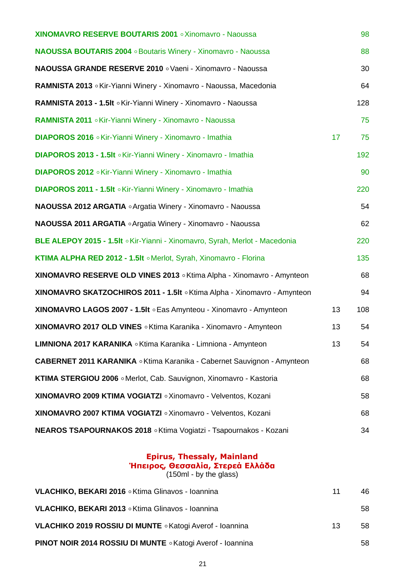| <b>XINOMAVRO RESERVE BOUTARIS 2001</b> . Xinomavro - Naoussa                    |    | 98  |
|---------------------------------------------------------------------------------|----|-----|
| <b>NAOUSSA BOUTARIS 2004</b> . Boutaris Winery - Xinomavro - Naoussa            |    | 88  |
| NAOUSSA GRANDE RESERVE 2010 . Vaeni - Xinomavro - Naoussa                       |    | 30  |
| RAMNISTA 2013 . Kir-Yianni Winery - Xinomavro - Naoussa, Macedonia              |    | 64  |
| RAMNISTA 2013 - 1.5It . Kir-Yianni Winery - Xinomavro - Naoussa                 |    | 128 |
| RAMNISTA 2011 . Kir-Yianni Winery - Xinomavro - Naoussa                         |    | 75  |
| DIAPOROS 2016 . Kir-Yianni Winery - Xinomavro - Imathia                         | 17 | 75  |
| DIAPOROS 2013 - 1.5It . Kir-Yianni Winery - Xinomavro - Imathia                 |    | 192 |
| DIAPOROS 2012 . Kir-Yianni Winery - Xinomavro - Imathia                         |    | 90  |
| DIAPOROS 2011 - 1.5It . Kir-Yianni Winery - Xinomavro - Imathia                 |    | 220 |
| <b>NAOUSSA 2012 ARGATIA</b> $\circ$ Argatia Winery - Xinomavro - Naoussa        |    | 54  |
| NAOUSSA 2011 ARGATIA $\circ$ Argatia Winery - Xinomavro - Naoussa               |    | 62  |
| BLE ALEPOY 2015 - 1.5It . Kir-Yianni - Xinomavro, Syrah, Merlot - Macedonia     |    | 220 |
| KTIMA ALPHA RED 2012 - 1.5It . Merlot, Syrah, Xinomavro - Florina               |    | 135 |
| XINOMAVRO RESERVE OLD VINES 2013 . Ktima Alpha - Xinomavro - Amynteon           |    | 68  |
| XINOMAVRO SKATZOCHIROS 2011 - 1.5It o Ktima Alpha - Xinomavro - Amynteon        |    | 94  |
| XINOMAVRO LAGOS 2007 - 1.5It . Eas Amynteou - Xinomavro - Amynteon              | 13 | 108 |
| XINOMAVRO 2017 OLD VINES . Ktima Karanika - Xinomavro - Amynteon                | 13 | 54  |
| LIMNIONA 2017 KARANIKA o Ktima Karanika - Limniona - Amynteon                   | 13 | 54  |
| CABERNET 2011 KARANIKA . Ktima Karanika - Cabernet Sauvignon - Amynteon         |    | 68  |
| KTIMA STERGIOU 2006 . Merlot, Cab. Sauvignon, Xinomavro - Kastoria              |    | 68  |
| XINOMAVRO 2009 KTIMA VOGIATZI o Xinomavro - Velventos, Kozani                   |    | 58  |
| XINOMAVRO 2007 KTIMA VOGIATZI o Xinomavro - Velventos, Kozani                   |    | 68  |
| <b>NEAROS TSAPOURNAKOS 2018 <i>.</i> Ktima Vogiatzi - Tsapournakos - Kozani</b> |    | 34  |

#### **Epirus, Thessaly, Mainland Ήπειρος, Θεσσαλία, Στερεά Ελλάδα**  $(150<sub>ml</sub> - by the glass)$

**VLACHIKO, BEKARI 2016 ◦ Ktima Glinavos - Ioannina 11 1 1 1 46 11 1 46 VLACHIKO, BEKARI 2013** ◦Ktima Glinavos - Ioannina 58 **VLACHIKO 2019 ROSSIU DI MUNTE** ◦ Katogi Averof - Ioannina 13 13 58 **PINOT NOIR 2014 ROSSIU DI MUNTE** ◦Katogi Averof - Ioannina 58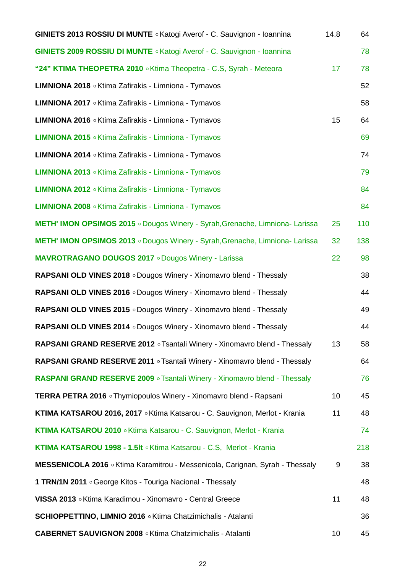| <b>GINIETS 2013 ROSSIU DI MUNTE</b> · Katogi Averof - C. Sauvignon - Ioannina       | 14.8 | 64  |
|-------------------------------------------------------------------------------------|------|-----|
| <b>GINIETS 2009 ROSSIU DI MUNTE</b> · Katogi Averof - C. Sauvignon - Ioannina       |      | 78  |
| "24" KTIMA THEOPETRA 2010 . Ktima Theopetra - C.S, Syrah - Meteora                  | 17   | 78  |
| LIMNIONA 2018 • Ktima Zafirakis - Limniona - Tyrnavos                               |      | 52  |
| LIMNIONA 2017 • Ktima Zafirakis - Limniona - Tyrnavos                               |      | 58  |
| LIMNIONA 2016 . Ktima Zafirakis - Limniona - Tyrnavos                               | 15   | 64  |
| LIMNIONA 2015 . Ktima Zafirakis - Limniona - Tyrnavos                               |      | 69  |
| LIMNIONA 2014 . Ktima Zafirakis - Limniona - Tyrnavos                               |      | 74  |
| LIMNIONA 2013 . Ktima Zafirakis - Limniona - Tyrnavos                               |      | 79  |
| LIMNIONA 2012 . Ktima Zafirakis - Limniona - Tyrnavos                               |      | 84  |
| LIMNIONA 2008 . Ktima Zafirakis - Limniona - Tyrnavos                               |      | 84  |
| METH' IMON OPSIMOS 2015 . Dougos Winery - Syrah, Grenache, Limniona- Larissa        | 25   | 110 |
| <b>METH' IMON OPSIMOS 2013</b> . Dougos Winery - Syrah, Grenache, Limniona- Larissa | 32   | 138 |
| <b>MAVROTRAGANO DOUGOS 2017</b> o Dougos Winery - Larissa                           | 22   | 98  |
| RAPSANI OLD VINES 2018 . Dougos Winery - Xinomavro blend - Thessaly                 |      | 38  |
| <b>RAPSANI OLD VINES 2016</b> . Dougos Winery - Xinomavro blend - Thessaly          |      | 44  |
| RAPSANI OLD VINES 2015 . Dougos Winery - Xinomavro blend - Thessaly                 |      | 49  |
| RAPSANI OLD VINES 2014 . Dougos Winery - Xinomavro blend - Thessaly                 |      | 44  |
| RAPSANI GRAND RESERVE 2012 . Tsantali Winery - Xinomavro blend - Thessaly           | 13   | 58  |
| RAPSANI GRAND RESERVE 2011 . Tsantali Winery - Xinomavro blend - Thessaly           |      | 64  |
| RASPANI GRAND RESERVE 2009 · Tsantali Winery - Xinomavro blend - Thessaly           |      | 76  |
| <b>TERRA PETRA 2016</b> • Thymiopoulos Winery - Xinomavro blend - Rapsani           | 10   | 45  |
| KTIMA KATSAROU 2016, 2017 . Ktima Katsarou - C. Sauvignon, Merlot - Krania          | 11   | 48  |
| KTIMA KATSAROU 2010 . Ktima Katsarou - C. Sauvignon, Merlot - Krania                |      | 74  |
| KTIMA KATSAROU 1998 - 1.5It . Ktima Katsarou - C.S, Merlot - Krania                 |      | 218 |
| MESSENICOLA 2016 . Ktima Karamitrou - Messenicola, Carignan, Syrah - Thessaly       | 9    | 38  |
| 1 TRN/1N 2011 . George Kitos - Touriga Nacional - Thessaly                          |      | 48  |
| VISSA 2013 . Ktima Karadimou - Xinomavro - Central Greece                           | 11   | 48  |
| <b>SCHIOPPETTINO, LIMNIO 2016</b> . Ktima Chatzimichalis - Atalanti                 |      | 36  |
| <b>CABERNET SAUVIGNON 2008</b> . Ktima Chatzimichalis - Atalanti                    | 10   | 45  |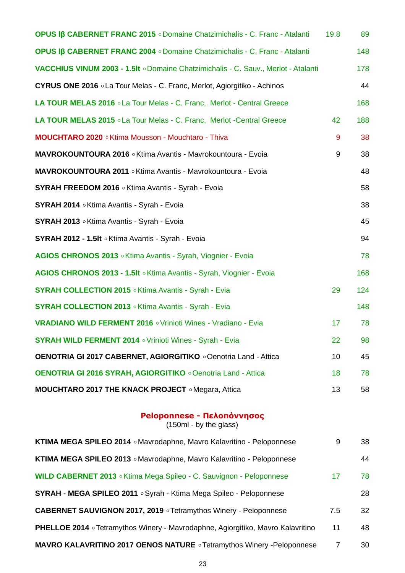| OPUS Iß CABERNET FRANC 2015 · Domaine Chatzimichalis - C. Franc - Atalanti         | 19.8             | 89  |
|------------------------------------------------------------------------------------|------------------|-----|
| OPUS Iß CABERNET FRANC 2004 . Domaine Chatzimichalis - C. Franc - Atalanti         |                  | 148 |
| VACCHIUS VINUM 2003 - 1.5It . Domaine Chatzimichalis - C. Sauv., Merlot - Atalanti |                  | 178 |
| <b>CYRUS ONE 2016</b> . La Tour Melas - C. Franc, Merlot, Agiorgitiko - Achinos    |                  | 44  |
| LA TOUR MELAS 2016 . La Tour Melas - C. Franc, Merlot - Central Greece             |                  | 168 |
| LA TOUR MELAS 2015 . La Tour Melas - C. Franc, Merlot -Central Greece              | 42               | 188 |
| MOUCHTARO 2020 . Ktima Mousson - Mouchtaro - Thiva                                 | 9                | 38  |
| MAVROKOUNTOURA 2016 . Ktima Avantis - Mavrokountoura - Evoia                       | $\boldsymbol{9}$ | 38  |
| MAVROKOUNTOURA 2011 . Ktima Avantis - Mavrokountoura - Evoia                       |                  | 48  |
| SYRAH FREEDOM 2016 . Ktima Avantis - Syrah - Evoia                                 |                  | 58  |
| SYRAH 2014 . Ktima Avantis - Syrah - Evoia                                         |                  | 38  |
| SYRAH 2013 . Ktima Avantis - Syrah - Evoia                                         |                  | 45  |
| SYRAH 2012 - 1.5It . Ktima Avantis - Syrah - Evoia                                 |                  | 94  |
| AGIOS CHRONOS 2013 . Ktima Avantis - Syrah, Viognier - Evoia                       |                  | 78  |
| AGIOS CHRONOS 2013 - 1.5It . Ktima Avantis - Syrah, Viognier - Evoia               |                  | 168 |
| <b>SYRAH COLLECTION 2015</b> . Ktima Avantis - Syrah - Evia                        | 29               | 124 |
| <b>SYRAH COLLECTION 2013</b> • Ktima Avantis - Syrah - Evia                        |                  | 148 |
| <b>VRADIANO WILD FERMENT 2016</b> . Vrinioti Wines - Vradiano - Evia               | 17               | 78  |
| <b>SYRAH WILD FERMENT 2014</b> . Vrinioti Wines - Syrah - Evia                     | 22               | 98  |
| <b>OENOTRIA GI 2017 CABERNET, AGIORGITIKO . Oenotria Land - Attica</b>             | 10               | 45  |
| <b>OENOTRIA GI 2016 SYRAH, AGIORGITIKO</b> o Oenotria Land - Attica                | 18               | 78  |
| MOUCHTARO 2017 THE KNACK PROJECT . Megara, Attica                                  | 13               | 58  |

#### **Peloponnese - Πελοπόννησος**

| KTIMA MEGA SPILEO 2014 . Mavrodaphne, Mavro Kalavritino - Peloponnese                  | 9   | 38 |
|----------------------------------------------------------------------------------------|-----|----|
| KTIMA MEGA SPILEO 2013 . Mavrodaphne, Mavro Kalavritino - Peloponnese                  |     | 44 |
| WILD CABERNET 2013 . Ktima Mega Spileo - C. Sauvignon - Peloponnese                    | 17  | 78 |
| SYRAH - MEGA SPILEO 2011 . Syrah - Ktima Mega Spileo - Peloponnese                     |     | 28 |
| <b>CABERNET SAUVIGNON 2017, 2019</b> • Tetramythos Winery - Peloponnese                | 7.5 | 32 |
| <b>PHELLOE 2014</b> • Tetramythos Winery - Mavrodaphne, Agiorgitiko, Mavro Kalavritino | 11  | 48 |
| <b>MAVRO KALAVRITINO 2017 OENOS NATURE o</b> Tetramythos Winery -Peloponnese           | 7   | 30 |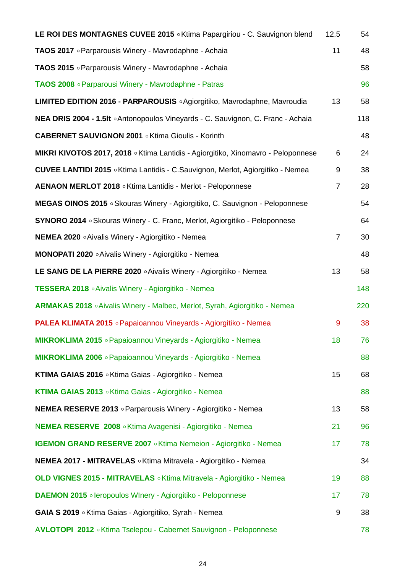| LE ROI DES MONTAGNES CUVEE 2015 . Ktima Papargiriou - C. Sauvignon blend                | 12.5           | 54  |
|-----------------------------------------------------------------------------------------|----------------|-----|
| TAOS 2017 • Parparousis Winery - Mavrodaphne - Achaia                                   | 11             | 48  |
| TAOS 2015 • Parparousis Winery - Mavrodaphne - Achaia                                   |                | 58  |
| TAOS 2008 • Parparousi Winery - Mavrodaphne - Patras                                    |                | 96  |
| LIMITED EDITION 2016 - PARPAROUSIS ∘Agiorgitiko, Mavrodaphne, Mavroudia                 | 13             | 58  |
| <b>NEA DRIS 2004 - 1.5It • Antonopoulos Vineyards - C. Sauvignon, C. Franc - Achaia</b> |                | 118 |
| <b>CABERNET SAUVIGNON 2001</b> . Ktima Gioulis - Korinth                                |                | 48  |
| MIKRI KIVOTOS 2017, 2018 . Ktima Lantidis - Agiorgitiko, Xinomavro - Peloponnese        | 6              | 24  |
| <b>CUVEE LANTIDI 2015</b> • Ktima Lantidis - C.Sauvignon, Merlot, Agiorgitiko - Nemea   | 9              | 38  |
| AENAON MERLOT 2018 . Ktima Lantidis - Merlot - Peloponnese                              | $\overline{7}$ | 28  |
| MEGAS OINOS 2015 . Skouras Winery - Agiorgitiko, C. Sauvignon - Peloponnese             |                | 54  |
| SYNORO 2014 ∘ Skouras Winery - C. Franc, Merlot, Agiorgitiko - Peloponnese              |                | 64  |
| <b>NEMEA 2020</b> • Aivalis Winery - Agiorgitiko - Nemea                                | $\overline{7}$ | 30  |
| MONOPATI 2020 . Aivalis Winery - Agiorgitiko - Nemea                                    |                | 48  |
| LE SANG DE LA PIERRE 2020 $\circ$ Aivalis Winery - Agiorgitiko - Nemea                  | 13             | 58  |
| TESSERA 2018 . Aivalis Winery - Agiorgitiko - Nemea                                     |                | 148 |
| ARMAKAS 2018 . Aivalis Winery - Malbec, Merlot, Syrah, Agiorgitiko - Nemea              |                | 220 |
| <b>PALEA KLIMATA 2015</b> • Papaioannou Vineyards - Agiorgitiko - Nemea                 | 9              | 38  |
| MIKROKLIMA 2015 • Papaioannou Vineyards - Agiorgitiko - Nemea                           | 18             | 76  |
| MIKROKLIMA 2006 • Papaioannou Vineyards - Agiorgitiko - Nemea                           |                | 88  |
| KTIMA GAIAS 2016 . Ktima Gaias - Agiorgitiko - Nemea                                    | 15             | 68  |
| KTIMA GAIAS 2013 . Ktima Gaias - Agiorgitiko - Nemea                                    |                | 88  |
| <b>NEMEA RESERVE 2013</b> • Parparousis Winery - Agiorgitiko - Nemea                    | 13             | 58  |
| NEMEA RESERVE 2008 . Ktima Avagenisi - Agiorgitiko - Nemea                              | 21             | 96  |
| <b>IGEMON GRAND RESERVE 2007</b> . Ktima Nemeion - Agiorgitiko - Nemea                  | 17             | 78  |
| <b>NEMEA 2017 - MITRAVELAS</b> . Ktima Mitravela - Agiorgitiko - Nemea                  |                | 34  |
| OLD VIGNES 2015 - MITRAVELAS . Ktima Mitravela - Agiorgitiko - Nemea                    | 19             | 88  |
| <b>DAEMON 2015</b> • leropoulos WInery - Agiorgitiko - Peloponnese                      | 17             | 78  |
| GAIA S 2019 . Ktima Gaias - Agiorgitiko, Syrah - Nemea                                  | 9              | 38  |
| AVLOTOPI 2012 . Ktima Tselepou - Cabernet Sauvignon - Peloponnese                       |                | 78  |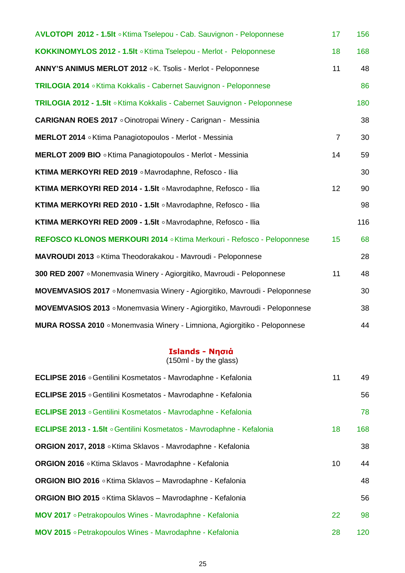| AVLOTOPI 2012 - 1.5It . Ktima Tselepou - Cab. Sauvignon - Peloponnese     | 17               | 156 |
|---------------------------------------------------------------------------|------------------|-----|
| KOKKINOMYLOS 2012 - 1.5It . Ktima Tselepou - Merlot - Peloponnese         | 18               | 168 |
| ANNY'S ANIMUS MERLOT 2012 . K. Tsolis - Merlot - Peloponnese              | 11               | 48  |
| TRILOGIA 2014 . Ktima Kokkalis - Cabernet Sauvignon - Peloponnese         |                  | 86  |
| TRILOGIA 2012 - 1.5It . Ktima Kokkalis - Cabernet Sauvignon - Peloponnese |                  | 180 |
| <b>CARIGNAN ROES 2017</b> • Oinotropai Winery - Carignan - Messinia       |                  | 38  |
| MERLOT 2014 . Ktima Panagiotopoulos - Merlot - Messinia                   | $\overline{7}$   | 30  |
| MERLOT 2009 BIO . Ktima Panagiotopoulos - Merlot - Messinia               | 14               | 59  |
| KTIMA MERKOYRI RED 2019 . Mavrodaphne, Refosco - Ilia                     |                  | 30  |
| KTIMA MERKOYRI RED 2014 - 1.5It . Mavrodaphne, Refosco - Ilia             | 12               | 90  |
| KTIMA MERKOYRI RED 2010 - 1.5It . Mavrodaphne, Refosco - Ilia             |                  | 98  |
| KTIMA MERKOYRI RED 2009 - 1.5It . Mavrodaphne, Refosco - Ilia             |                  | 116 |
| REFOSCO KLONOS MERKOURI 2014 . Ktima Merkouri - Refosco - Peloponnese     | 15 <sub>15</sub> | 68  |
| MAVROUDI 2013 . Ktima Theodorakakou - Mavroudi - Peloponnese              |                  | 28  |
| 300 RED 2007 • Monemvasia Winery - Agiorgitiko, Mavroudi - Peloponnese    | 11               | 48  |
| MOVEMVASIOS 2017 Monemvasia Winery - Agiorgitiko, Mavroudi - Peloponnese  |                  | 30  |
| MOVEMVASIOS 2013 Monemvasia Winery - Agiorgitiko, Mavroudi - Peloponnese  |                  | 38  |
| MURA ROSSA 2010 • Monemvasia Winery - Limniona, Agiorgitiko - Peloponnese |                  | 44  |

#### **Islands - Νησιά**

| ECLIPSE 2016 • Gentilini Kosmetatos - Mavrodaphne - Kefalonia         | 11 | 49  |
|-----------------------------------------------------------------------|----|-----|
| ECLIPSE 2015 • Gentilini Kosmetatos - Mavrodaphne - Kefalonia         |    | 56  |
| ECLIPSE 2013 . Gentilini Kosmetatos - Mavrodaphne - Kefalonia         |    | 78  |
| ECLIPSE 2013 - 1.5It . Gentilini Kosmetatos - Mavrodaphne - Kefalonia | 18 | 168 |
| ORGION 2017, 2018 . Ktima Sklavos - Mavrodaphne - Kefalonia           |    | 38  |
| ORGION 2016 . Ktima Sklavos - Mavrodaphne - Kefalonia                 | 10 | 44  |
| <b>ORGION BIO 2016</b> . Ktima Sklavos - Mavrodaphne - Kefalonia      |    | 48  |
| <b>ORGION BIO 2015</b> • Ktima Sklavos - Mavrodaphne - Kefalonia      |    | 56  |
| MOV 2017 • Petrakopoulos Wines - Mavrodaphne - Kefalonia              | 22 | 98  |
| MOV 2015 • Petrakopoulos Wines - Mavrodaphne - Kefalonia              | 28 | 120 |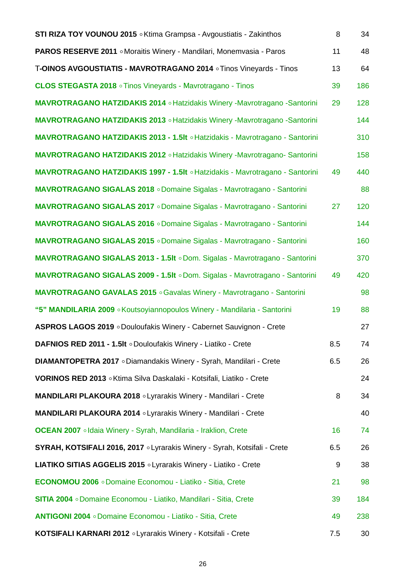| <b>STI RIZA TOY VOUNOU 2015</b> • Ktima Grampsa - Avgoustiatis - Zakinthos       | 8   | 34  |
|----------------------------------------------------------------------------------|-----|-----|
| <b>PAROS RESERVE 2011</b> . Moraitis Winery - Mandilari, Monemvasia - Paros      | 11  | 48  |
| T-OINOS AVGOUSTIATIS - MAVROTRAGANO 2014 o Tinos Vineyards - Tinos               | 13  | 64  |
| <b>CLOS STEGASTA 2018</b> • Tinos Vineyards - Mavrotragano - Tinos               | 39  | 186 |
| <b>MAVROTRAGANO HATZIDAKIS 2014 o Hatzidakis Winery -Mavrotragano -Santorini</b> | 29  | 128 |
| <b>MAVROTRAGANO HATZIDAKIS 2013 • Hatzidakis Winery -Mavrotragano -Santorini</b> |     | 144 |
| MAVROTRAGANO HATZIDAKIS 2013 - 1.5It . Hatzidakis - Mavrotragano - Santorini     |     | 310 |
| <b>MAVROTRAGANO HATZIDAKIS 2012 · Hatzidakis Winery -Mavrotragano- Santorini</b> |     | 158 |
| MAVROTRAGANO HATZIDAKIS 1997 - 1.5It . Hatzidakis - Mavrotragano - Santorini     | 49  | 440 |
| MAVROTRAGANO SIGALAS 2018 . Domaine Sigalas - Mavrotragano - Santorini           |     | 88  |
| MAVROTRAGANO SIGALAS 2017 o Domaine Sigalas - Mavrotragano - Santorini           | 27  | 120 |
| MAVROTRAGANO SIGALAS 2016 . Domaine Sigalas - Mavrotragano - Santorini           |     | 144 |
| MAVROTRAGANO SIGALAS 2015 o Domaine Sigalas - Mavrotragano - Santorini           |     | 160 |
| MAVROTRAGANO SIGALAS 2013 - 1.5It . Dom. Sigalas - Mavrotragano - Santorini      |     | 370 |
| MAVROTRAGANO SIGALAS 2009 - 1.5It . Dom. Sigalas - Mavrotragano - Santorini      | 49  | 420 |
| <b>MAVROTRAGANO GAVALAS 2015</b> • Gavalas Winery - Mavrotragano - Santorini     |     | 98  |
| "5" MANDILARIA 2009 . Koutsoyiannopoulos Winery - Mandilaria - Santorini         | 19  | 88  |
| ASPROS LAGOS 2019 . Douloufakis Winery - Cabernet Sauvignon - Crete              |     | 27  |
| DAFNIOS RED 2011 - 1.5It . Douloufakis Winery - Liatiko - Crete                  | 8.5 | 74  |
| DIAMANTOPETRA 2017 o Diamandakis Winery - Syrah, Mandilari - Crete               | 6.5 | 26  |
| VORINOS RED 2013 . Ktima Silva Daskalaki - Kotsifali, Liatiko - Crete            |     | 24  |
| MANDILARI PLAKOURA 2018 o Lyrarakis Winery - Mandilari - Crete                   | 8   | 34  |
| MANDILARI PLAKOURA 2014 o Lyrarakis Winery - Mandilari - Crete                   |     | 40  |
| <b>OCEAN 2007</b> . Idaia Winery - Syrah, Mandilaria - Iraklion, Crete           | 16  | 74  |
| SYRAH, KOTSIFALI 2016, 2017 . Lyrarakis Winery - Syrah, Kotsifali - Crete        | 6.5 | 26  |
| LIATIKO SITIAS AGGELIS 2015 o Lyrarakis Winery - Liatiko - Crete                 | 9   | 38  |
| <b>ECONOMOU 2006</b> o Domaine Economou - Liatiko - Sitia, Crete                 | 21  | 98  |
| SITIA 2004 o Domaine Economou - Liatiko, Mandilari - Sitia, Crete                | 39  | 184 |
| ANTIGONI 2004 o Domaine Economou - Liatiko - Sitia, Crete                        | 49  | 238 |
| KOTSIFALI KARNARI 2012 o Lyrarakis Winery - Kotsifali - Crete                    | 7.5 | 30  |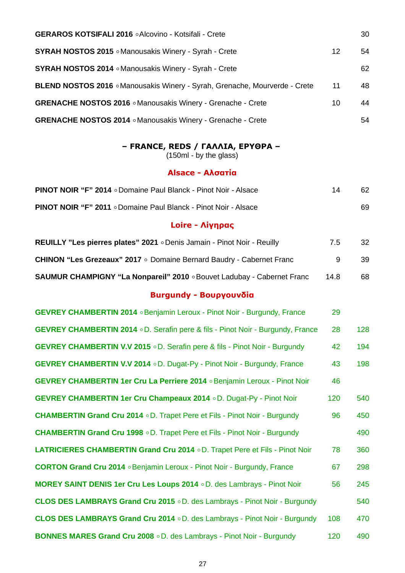| <b>GERAROS KOTSIFALI 2016 • Alcovino - Kotsifali - Crete</b>               |    | 30 |
|----------------------------------------------------------------------------|----|----|
| <b>SYRAH NOSTOS 2015</b> • Manousakis Winery - Syrah - Crete               | 12 | 54 |
| <b>SYRAH NOSTOS 2014</b> • Manousakis Winery - Syrah - Crete               |    | 62 |
| BLEND NOSTOS 2016 . Manousakis Winery - Syrah, Grenache, Mourverde - Crete | 11 | 48 |
| GRENACHE NOSTOS 2016 . Manousakis Winery - Grenache - Crete                | 10 | 44 |
| <b>GRENACHE NOSTOS 2014</b> • Manousakis Winery - Grenache - Crete         |    | 54 |

#### **– FRANCE, REDS / ΓΑΛΛΙΑ, ΕΡΥΘΡΑ –**

(150ml - by the glass)

#### **Alsace - Αλσατία**

| <b>PINOT NOIR "F" 2014</b> o Domaine Paul Blanck - Pinot Noir - Alsace | 14 | 62 |
|------------------------------------------------------------------------|----|----|
| <b>PINOT NOIR "F" 2011</b> o Domaine Paul Blanck - Pinot Noir - Alsace |    | 69 |

## **Loire - Λίγηρας**

| <b>REUILLY "Les pierres plates" 2021</b> ∘ Denis Jamain - Pinot Noir - Reuilly | 7.5  | 32  |
|--------------------------------------------------------------------------------|------|-----|
| <b>CHINON "Les Grezeaux" 2017</b> • Domaine Bernard Baudry - Cabernet Franc    |      | 39. |
| <b>SAUMUR CHAMPIGNY "La Nonpareil" 2010</b> . Bouvet Ladubay - Cabernet Franc  | 14.8 | 68  |

### **Burgundy - Βουργουνδία**

| <b>GEVREY CHAMBERTIN 2014</b> . Benjamin Leroux - Pinot Noir - Burgundy, France       | 29  |     |
|---------------------------------------------------------------------------------------|-----|-----|
| <b>GEVREY CHAMBERTIN 2014</b> oD. Serafin pere & fils - Pinot Noir - Burgundy, France | 28  | 128 |
| <b>GEVREY CHAMBERTIN V.V 2015</b> oD. Serafin pere & fils - Pinot Noir - Burgundy     | 42  | 194 |
| <b>GEVREY CHAMBERTIN V.V 2014</b> o D. Dugat-Py - Pinot Noir - Burgundy, France       | 43  | 198 |
| GEVREY CHAMBERTIN 1er Cru La Perriere 2014 . Benjamin Leroux - Pinot Noir             | 46  |     |
| <b>GEVREY CHAMBERTIN 1er Cru Champeaux 2014</b> o D. Dugat-Py - Pinot Noir            | 120 | 540 |
| <b>CHAMBERTIN Grand Cru 2014</b> o D. Trapet Pere et Fils - Pinot Noir - Burgundy     | 96  | 450 |
| <b>CHAMBERTIN Grand Cru 1998</b> o D. Trapet Pere et Fils - Pinot Noir - Burgundy     |     | 490 |
| LATRICIERES CHAMBERTIN Grand Cru 2014 o D. Trapet Pere et Fils - Pinot Noir           | 78  | 360 |
| <b>CORTON Grand Cru 2014</b> . Benjamin Leroux - Pinot Noir - Burgundy, France        | 67  | 298 |
| <b>MOREY SAINT DENIS 1er Cru Les Loups 2014</b> o D. des Lambrays - Pinot Noir        | 56  | 245 |
| CLOS DES LAMBRAYS Grand Cru 2015 . D. des Lambrays - Pinot Noir - Burgundy            |     | 540 |
| <b>CLOS DES LAMBRAYS Grand Cru 2014</b> o D. des Lambrays - Pinot Noir - Burgundy     | 108 | 470 |
| <b>BONNES MARES Grand Cru 2008</b> o D. des Lambrays - Pinot Noir - Burgundy          | 120 | 490 |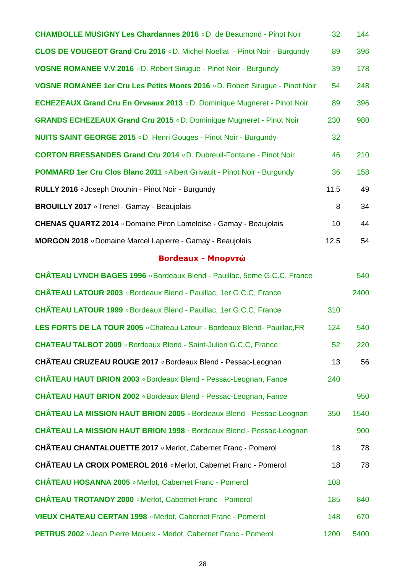| <b>CHAMBOLLE MUSIGNY Les Chardannes 2016 o D. de Beaumond - Pinot Noir</b>          | 32 <sub>2</sub> | 144 |
|-------------------------------------------------------------------------------------|-----------------|-----|
| <b>CLOS DE VOUGEOT Grand Cru 2016</b> oD. Michel Noellat - Pinot Noir - Burgundy    | 89              | 396 |
| <b>VOSNE ROMANEE V.V 2016 . D. Robert Sirugue - Pinot Noir - Burgundy</b>           | 39              | 178 |
| <b>VOSNE ROMANEE 1er Cru Les Petits Monts 2016</b> o D. Robert Siruque - Pinot Noir | 54              | 248 |
| <b>ECHEZEAUX Grand Cru En Orveaux 2013</b> o D. Dominique Mugneret - Pinot Noir     | 89              | 396 |
| <b>GRANDS ECHEZEAUX Grand Cru 2015</b> oD. Dominique Mugneret - Pinot Noir          | 230             | 980 |
| <b>NUITS SAINT GEORGE 2015</b> oD. Henri Gouges - Pinot Noir - Burgundy             | 32              |     |
| <b>CORTON BRESSANDES Grand Cru 2014 . D. Dubreuil-Fontaine - Pinot Noir</b>         | 46              | 210 |
| <b>POMMARD 1er Cru Clos Blanc 2011</b> . Albert Grivault - Pinot Noir - Burgundy    | 36              | 158 |
| RULLY 2016 • Joseph Drouhin - Pinot Noir - Burgundy                                 | 11.5            | 49  |
| <b>BROUILLY 2017</b> • Trenel - Gamay - Beaujolais                                  | 8               | 34  |
| CHENAS QUARTZ 2014 . Domaine Piron Lameloise - Gamay - Beaujolais                   | 10 <sup>°</sup> | 44  |
| MORGON 2018 o Domaine Marcel Lapierre - Gamay - Beaujolais                          | 12.5            | 54  |

## **Bordeaux - Μπορντώ**

| CHÂTEAU LYNCH BAGES 1996 . Bordeaux Blend - Pauillac, 5eme G.C.C, France    |      | 540  |
|-----------------------------------------------------------------------------|------|------|
| CHÂTEAU LATOUR 2003 . Bordeaux Blend - Pauillac, 1er G.C.C, France          |      | 2400 |
| <b>CHÂTEAU LATOUR 1999</b> . Bordeaux Blend - Pauillac, 1er G.C.C, France   | 310  |      |
| LES FORTS DE LA TOUR 2005 . Chateau Latour - Bordeaux Blend- Pauillac, FR   | 124  | 540  |
| <b>CHATEAU TALBOT 2009</b> . Bordeaux Blend - Saint-Julien G.C.C, France    | 52   | 220  |
| CHÂTEAU CRUZEAU ROUGE 2017 . Bordeaux Blend - Pessac-Leognan                | 13   | 56   |
| <b>CHÂTEAU HAUT BRION 2003</b> • Bordeaux Blend - Pessac-Leognan, Fance     | 240  |      |
| <b>CHÂTEAU HAUT BRION 2002</b> • Bordeaux Blend - Pessac-Leognan, Fance     |      | 950  |
| CHÂTEAU LA MISSION HAUT BRION 2005 . Bordeaux Blend - Pessac-Leognan        | 350  | 1540 |
| <b>CHÂTEAU LA MISSION HAUT BRION 1998</b> • Bordeaux Blend - Pessac-Leognan |      | 900  |
| CHÂTEAU CHANTALOUETTE 2017 . Merlot, Cabernet Franc - Pomerol               | 18   | 78   |
| CHÂTEAU LA CROIX POMEROL 2016 . Merlot, Cabernet Franc - Pomerol            | 18   | 78   |
| CHÂTEAU HOSANNA 2005 . Merlot, Cabernet Franc - Pomerol                     | 108  |      |
| <b>CHÂTEAU TROTANOY 2000</b> · Merlot, Cabernet Franc - Pomerol             | 185  | 840  |
| VIEUX CHATEAU CERTAN 1998 . Merlot, Cabernet Franc - Pomerol                | 148  | 670  |
| PETRUS 2002 .Jean Pierre Moueix - Merlot, Cabernet Franc - Pomerol          | 1200 | 5400 |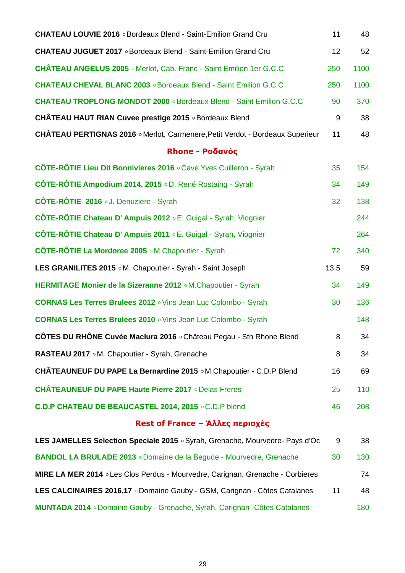| <b>CHATEAU LOUVIE 2016</b> • Bordeaux Blend - Saint-Emilion Grand Cru             | 11   | 48   |
|-----------------------------------------------------------------------------------|------|------|
| <b>CHATEAU JUGUET 2017</b> • Bordeaux Blend - Saint-Emilion Grand Cru             | 12   | 52   |
| CHÂTEAU ANGELUS 2005 . Merlot, Cab. Franc - Saint Emilion 1er G.C.C               | 250  | 1100 |
| <b>CHATEAU CHEVAL BLANC 2003</b> . Bordeaux Blend - Saint Emilion G.C.C           | 250  | 1100 |
| <b>CHATEAU TROPLONG MONDOT 2000 .</b> Bordeaux Blend - Saint Emilion G.C.C        | 90   | 370  |
| <b>CHÂTEAU HAUT RIAN Cuvee prestige 2015</b> • Bordeaux Blend                     | 9    | 38   |
| CHÂTEAU PERTIGNAS 2016 . Merlot, Carmenere, Petit Verdot - Bordeaux Superieur     | 11   | 48   |
| Rhone - Ροδανός                                                                   |      |      |
| CÔTE-RÔTIE Lieu Dit Bonnivieres 2016 . Cave Yves Cuilleron - Syrah                | 35   | 154  |
| CÔTE-RÔTIE Ampodium 2014, 2015 o D. René Rostaing - Syrah                         | 34   | 149  |
| CÔTE-RÔTIE 2016 .J. Denuziere - Syrah                                             | 32   | 138  |
| CÔTE-RÔTIE Chateau D' Ampuis 2012 <b>E.</b> Guigal - Syrah, Viognier              |      | 244  |
| CÔTE-RÔTIE Chateau D' Ampuis 2011 o E. Guigal - Syrah, Viognier                   |      | 264  |
| <b>CÔTE-RÔTIE La Mordoree 2005</b> • M. Chapoutier - Syrah                        | 72   | 340  |
| LES GRANILITES 2015 . M. Chapoutier - Syrah - Saint Joseph                        | 13.5 | 59   |
| HERMITAGE Monier de la Sizeranne 2012 M.Chapoutier - Syrah                        | 34   | 149  |
| <b>CORNAS Les Terres Brulees 2012</b> . Vins Jean Luc Colombo - Syrah             | 30   | 136  |
| <b>CORNAS Les Terres Brulees 2010</b> o Vins Jean Luc Colombo - Syrah             |      | 148  |
| CÔTES DU RHÔNE Cuvée Maclura 2016 ∘Château Pegau - Sth Rhone Blend                | 8    | 34   |
| RASTEAU 2017 . M. Chapoutier - Syrah, Grenache                                    | 8    | 34   |
| CHÂTEAUNEUF DU PAPE La Bernardine 2015 • M. Chapoutier - C.D.P Blend              | 16   | 69   |
| <b>CHÂTEAUNEUF DU PAPE Haute Pierre 2017</b> • Delas Freres                       | 25   | 110  |
| C.D.P CHATEAU DE BEAUCASTEL 2014, 2015 . C.D.P blend                              | 46   | 208  |
| Rest of France – Άλλες περιοχές                                                   |      |      |
| LES JAMELLES Selection Speciale 2015 . Syrah, Grenache, Mourvedre- Pays d'Oc      | 9    | 38   |
| <b>BANDOL LA BRULADE 2013</b> o Domaine de la Begude - Mourvedre, Grenache        | 30   | 130  |
| MIRE LA MER 2014 . Les Clos Perdus - Mourvedre, Carignan, Grenache - Corbieres    |      | 74   |
| LES CALCINAIRES 2016,17 o Domaine Gauby - GSM, Carignan - Côtes Catalanes         | 11   | 48   |
| <b>MUNTADA 2014</b> • Domaine Gauby - Grenache, Syrah, Carignan - Côtes Catalanes |      | 180  |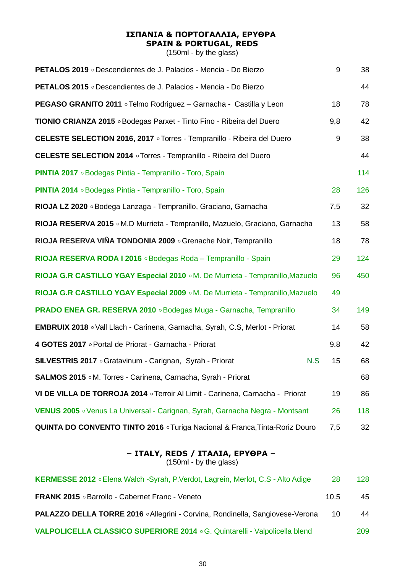## **ΙΣΠΑΝΙΑ & ΠΟΡΤΟΓΑΛΛΙΑ, ΕΡΥΘΡΑ SPAIN & PORTUGAL, REDS**

(150ml - by the glass)

| <b>PETALOS 2019</b> • Descendientes de J. Palacios - Mencia - Do Bierzo       | 9   | 38  |
|-------------------------------------------------------------------------------|-----|-----|
| <b>PETALOS 2015</b> • Descendientes de J. Palacios - Mencia - Do Bierzo       |     | 44  |
| <b>PEGASO GRANITO 2011</b> • Telmo Rodriguez – Garnacha - Castilla y Leon     | 18  | 78  |
| <b>TIONIO CRIANZA 2015</b> • Bodegas Parxet - Tinto Fino - Ribeira del Duero  | 9,8 | 42  |
| CELESTE SELECTION 2016, 2017 ∘ Torres - Tempranillo - Ribeira del Duero       | 9   | 38  |
| <b>CELESTE SELECTION 2014</b> o Torres - Tempranillo - Ribeira del Duero      |     | 44  |
| <b>PINTIA 2017</b> • Bodegas Pintia - Tempranillo - Toro, Spain               |     | 114 |
| <b>PINTIA 2014</b> • Bodegas Pintia - Tempranillo - Toro, Spain               | 28  | 126 |
| RIOJA LZ 2020 o Bodega Lanzaga - Tempranillo, Graciano, Garnacha              | 7,5 | 32  |
| RIOJA RESERVA 2015 . M.D Murrieta - Tempranillo, Mazuelo, Graciano, Garnacha  | 13  | 58  |
| RIOJA RESERVA VIÑA TONDONIA 2009 o Grenache Noir, Tempranillo                 | 18  | 78  |
| RIOJA RESERVA RODA I 2016 . Bodegas Roda - Tempranillo - Spain                | 29  | 124 |
| RIOJA G.R CASTILLO YGAY Especial 2010 ∘M. De Murrieta - Tempranillo, Mazuelo  | 96  | 450 |
| RIOJA G.R CASTILLO YGAY Especial 2009 ∘ M. De Murrieta - Tempranillo, Mazuelo | 49  |     |
| PRADO ENEA GR. RESERVA 2010 . Bodegas Muga - Garnacha, Tempranillo            | 34  | 149 |
| EMBRUIX 2018 . Vall Llach - Carinena, Garnacha, Syrah, C.S, Merlot - Priorat  | 14  | 58  |
| 4 GOTES 2017 • Portal de Priorat - Garnacha - Priorat                         | 9.8 | 42  |
| SILVESTRIS 2017 . Gratavinum - Carignan, Syrah - Priorat<br>N.S               | 15  | 68  |
| <b>SALMOS 2015</b> . M. Torres - Carinena, Carnacha, Syrah - Priorat          |     | 68  |
| VI DE VILLA DE TORROJA 2014 o Terroir Al Limit - Carinena, Carnacha - Priorat | 19  | 86  |
| VENUS 2005 . Venus La Universal - Carignan, Syrah, Garnacha Negra - Montsant  | 26  | 118 |
| QUINTA DO CONVENTO TINTO 2016 o Turiga Nacional & Franca, Tinta-Roriz Douro   | 7,5 | 32  |

## **– ITALY, REDS / ΙΤΑΛΙΑ, ΕΡΥΘΡΑ –**

| KERMESSE 2012 . Elena Walch -Syrah, P.Verdot, Lagrein, Merlot, C.S - Alto Adige      | 28   | 128 |
|--------------------------------------------------------------------------------------|------|-----|
| <b>FRANK 2015</b> • Barrollo - Cabernet Franc - Veneto                               | 10.5 | 45  |
| <b>PALAZZO DELLA TORRE 2016 • Allegrini - Corvina, Rondinella, Sangiovese-Verona</b> | 10   | 44  |
| VALPOLICELLA CLASSICO SUPERIORE 2014 ° G. Quintarelli - Valpolicella blend           |      | 209 |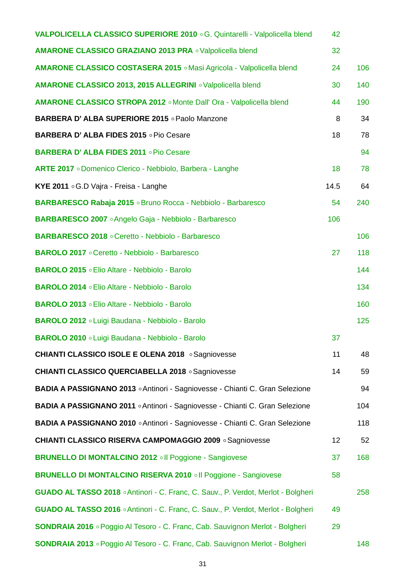| VALPOLICELLA CLASSICO SUPERIORE 2010 ° G. Quintarelli - Valpolicella blend           | 42   |     |
|--------------------------------------------------------------------------------------|------|-----|
| AMARONE CLASSICO GRAZIANO 2013 PRA o Valpolicella blend                              | 32   |     |
| AMARONE CLASSICO COSTASERA 2015 . Masi Agricola - Valpolicella blend                 | 24   | 106 |
| AMARONE CLASSICO 2013, 2015 ALLEGRINI . Valpolicella blend                           | 30   | 140 |
| AMARONE CLASSICO STROPA 2012 . Monte Dall' Ora - Valpolicella blend                  | 44   | 190 |
| BARBERA D'ALBA SUPERIORE 2015 • Paolo Manzone                                        | 8    | 34  |
| BARBERA D'ALBA FIDES 2015 OPio Cesare                                                | 18   | 78  |
| BARBERA D'ALBA FIDES 2011 . Pio Cesare                                               |      | 94  |
| ARTE 2017 o Domenico Clerico - Nebbiolo, Barbera - Langhe                            | 18   | 78  |
| KYE 2011 . G.D Vajra - Freisa - Langhe                                               | 14.5 | 64  |
| BARBARESCO Rabaja 2015 . Bruno Rocca - Nebbiolo - Barbaresco                         | 54   | 240 |
| BARBARESCO 2007 • Angelo Gaja - Nebbiolo - Barbaresco                                | 106  |     |
| BARBARESCO 2018 . Ceretto - Nebbiolo - Barbaresco                                    |      | 106 |
| <b>BAROLO 2017</b> . Ceretto - Nebbiolo - Barbaresco                                 | 27   | 118 |
| BAROLO 2015 . Elio Altare - Nebbiolo - Barolo                                        |      | 144 |
| BAROLO 2014 . Elio Altare - Nebbiolo - Barolo                                        |      | 134 |
| BAROLO 2013 . Elio Altare - Nebbiolo - Barolo                                        |      | 160 |
| BAROLO 2012 . Luigi Baudana - Nebbiolo - Barolo                                      |      | 125 |
| BAROLO 2010 . Luigi Baudana - Nebbiolo - Barolo                                      | 37   |     |
| <b>CHIANTI CLASSICO ISOLE E OLENA 2018 • Sagniovesse</b>                             | 11   | 48  |
| <b>CHIANTI CLASSICO QUERCIABELLA 2018 • Sagniovesse</b>                              | 14   | 59  |
| BADIA A PASSIGNANO 2013 . Antinori - Sagniovesse - Chianti C. Gran Selezione         |      | 94  |
| BADIA A PASSIGNANO 2011 . Antinori - Sagniovesse - Chianti C. Gran Selezione         |      | 104 |
| BADIA A PASSIGNANO 2010 . Antinori - Sagniovesse - Chianti C. Gran Selezione         |      | 118 |
| <b>CHIANTI CLASSICO RISERVA CAMPOMAGGIO 2009 • Sagniovesse</b>                       | 12   | 52  |
| <b>BRUNELLO DI MONTALCINO 2012 oll Poggione - Sangiovese</b>                         | 37   | 168 |
| BRUNELLO DI MONTALCINO RISERVA 2010 . Il Poggione - Sangiovese                       | 58   |     |
| GUADO AL TASSO 2018 . Antinori - C. Franc, C. Sauv., P. Verdot, Merlot - Bolgheri    |      | 258 |
| GUADO AL TASSO 2016 . Antinori - C. Franc, C. Sauv., P. Verdot, Merlot - Bolgheri    | 49   |     |
| <b>SONDRAIA 2016</b> • Poggio Al Tesoro - C. Franc, Cab. Sauvignon Merlot - Bolgheri | 29   |     |
| SONDRAIA 2013 . Poggio Al Tesoro - C. Franc, Cab. Sauvignon Merlot - Bolgheri        |      | 148 |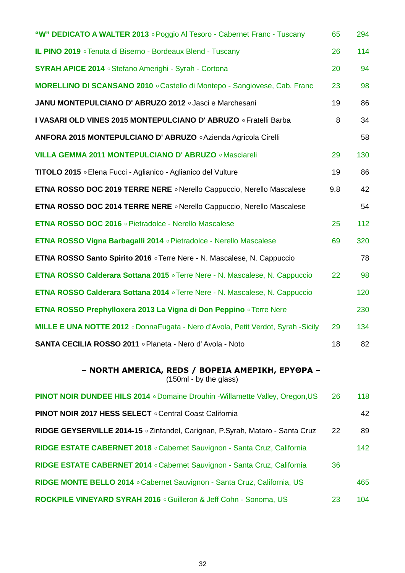| "W" DEDICATO A WALTER 2013 . Poggio Al Tesoro - Cabernet Franc - Tuscany                | 65  | 294 |
|-----------------------------------------------------------------------------------------|-----|-----|
| <b>IL PINO 2019</b> • Tenuta di Biserno - Bordeaux Blend - Tuscany                      | 26  | 114 |
| <b>SYRAH APICE 2014</b> • Stefano Amerighi - Syrah - Cortona                            | 20  | 94  |
| MORELLINO DI SCANSANO 2010 . Castello di Montepo - Sangiovese, Cab. Franc               | 23  | 98  |
| JANU MONTEPULCIANO D'ABRUZO 2012 o Jasci e Marchesani                                   | 19  | 86  |
| I VASARI OLD VINES 2015 MONTEPULCIANO D'ABRUZO O Fratelli Barba                         | 8   | 34  |
| ANFORA 2015 MONTEPULCIANO D'ABRUZO . Azienda Agricola Cirelli                           |     | 58  |
| <b>VILLA GEMMA 2011 MONTEPULCIANO D' ABRUZO · Masciareli</b>                            | 29  | 130 |
| TITOLO 2015 o Elena Fucci - Aglianico - Aglianico del Vulture                           | 19  | 86  |
| ETNA ROSSO DOC 2019 TERRE NERE . Nerello Cappuccio, Nerello Mascalese                   | 9.8 | 42  |
| ETNA ROSSO DOC 2014 TERRE NERE . Nerello Cappuccio, Nerello Mascalese                   |     | 54  |
| <b>ETNA ROSSO DOC 2016</b> • Pietradolce - Nerello Mascalese                            | 25  | 112 |
| ETNA ROSSO Vigna Barbagalli 2014 o Pietradolce - Nerello Mascalese                      | 69  | 320 |
| <b>ETNA ROSSO Santo Spirito 2016</b> o Terre Nere - N. Mascalese, N. Cappuccio          |     | 78  |
| ETNA ROSSO Calderara Sottana 2015 . Terre Nere - N. Mascalese, N. Cappuccio             | 22  | 98  |
| <b>ETNA ROSSO Calderara Sottana 2014</b> • Terre Nere - N. Mascalese, N. Cappuccio      |     | 120 |
| <b>ETNA ROSSO Prephylloxera 2013 La Vigna di Don Peppino Terre Nere</b>                 |     | 230 |
| <b>MILLE E UNA NOTTE 2012</b> . DonnaFugata - Nero d'Avola, Petit Verdot, Syrah -Sicily | 29  | 134 |
| SANTA CECILIA ROSSO 2011 . Planeta - Nero d'Avola - Noto                                | 18  | 82  |
| - NORTH AMERICA, REDS / BOPEIA AMEPIKH, EPYOPA -<br>(150ml - by the glass)              |     |     |
| <b>PINOT NOIR DUNDEE HILS 2014</b> . Domaine Drouhin - Willamette Valley, Oregon, US    | 26  | 118 |
| <b>PINOT NOIR 2017 HESS SELECT</b> . Central Coast California                           |     | 42  |
| RIDGE GEYSERVILLE 2014-15 ∘ Zinfandel, Carignan, P.Syrah, Mataro - Santa Cruz           | 22  | 89  |
| RIDGE ESTATE CABERNET 2018 . Cabernet Sauvignon - Santa Cruz, California                |     | 142 |
| RIDGE ESTATE CABERNET 2014 . Cabernet Sauvignon - Santa Cruz, California                | 36  |     |
| RIDGE MONTE BELLO 2014 . Cabernet Sauvignon - Santa Cruz, California, US                |     | 465 |
| ROCKPILE VINEYARD SYRAH 2016 . Guilleron & Jeff Cohn - Sonoma, US                       | 23  | 104 |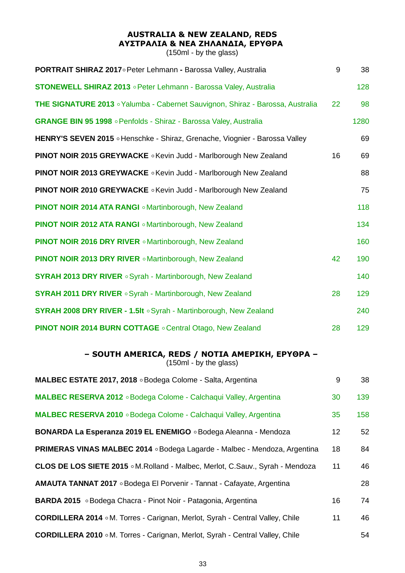## **AUSTRALIA & NEW ZEALAND, REDS ΑΥΣΤΡΑΛΙΑ & ΝΕΑ ΖΗΛΑΝΔΙΑ, ΕΡΥΘΡΑ**

(150ml - by the glass)

| PORTRAIT SHIRAZ 2017 o Peter Lehmann - Barossa Valley, Australia                      | 9  | 38   |
|---------------------------------------------------------------------------------------|----|------|
| <b>STONEWELL SHIRAZ 2013</b> • Peter Lehmann - Barossa Valey, Australia               |    | 128  |
| <b>THE SIGNATURE 2013</b> • Yalumba - Cabernet Sauvignon, Shiraz - Barossa, Australia | 22 | 98   |
| GRANGE BIN 95 1998 . Penfolds - Shiraz - Barossa Valey, Australia                     |    | 1280 |
| HENRY'S SEVEN 2015 . Henschke - Shiraz, Grenache, Viognier - Barossa Valley           |    | 69   |
| <b>PINOT NOIR 2015 GREYWACKE</b> . Kevin Judd - Marlborough New Zealand               | 16 | 69   |
| <b>PINOT NOIR 2013 GREYWACKE . Kevin Judd - Marlborough New Zealand</b>               |    | 88   |
| <b>PINOT NOIR 2010 GREYWACKE . Kevin Judd - Marlborough New Zealand</b>               |    | 75   |
| <b>PINOT NOIR 2014 ATA RANGI</b> $\circ$ Martinborough, New Zealand                   |    | 118  |
| PINOT NOIR 2012 ATA RANGI . Martinborough, New Zealand                                |    | 134  |
| <b>PINOT NOIR 2016 DRY RIVER o</b> Martinborough, New Zealand                         |    | 160  |
| <b>PINOT NOIR 2013 DRY RIVER .</b> Martinborough, New Zealand                         | 42 | 190  |
| <b>SYRAH 2013 DRY RIVER</b> . Syrah - Martinborough, New Zealand                      |    | 140  |
| <b>SYRAH 2011 DRY RIVER</b> . Syrah - Martinborough, New Zealand                      | 28 | 129  |
| SYRAH 2008 DRY RIVER - 1.5It . Syrah - Martinborough, New Zealand                     |    | 240  |
| <b>PINOT NOIR 2014 BURN COTTAGE</b> . Central Otago, New Zealand                      | 28 | 129  |

### **– SOUTH AMERICA, REDS / ΝΟΤΙΑ ΑΜΕΡΙΚΗ, ΕΡΥΘΡΑ –**

 $(150<sub>ml</sub> - by the glass)$ 

| MALBEC ESTATE 2017, 2018 . Bodega Colome - Salta, Argentina                          | 9               | 38  |
|--------------------------------------------------------------------------------------|-----------------|-----|
| MALBEC RESERVA 2012 . Bodega Colome - Calchagui Valley, Argentina                    | 30              | 139 |
| MALBEC RESERVA 2010 . Bodega Colome - Calchaqui Valley, Argentina                    | 35              | 158 |
| BONARDA La Esperanza 2019 EL ENEMIGO . Bodega Aleanna - Mendoza                      | 12 <sub>2</sub> | 52  |
| <b>PRIMERAS VINAS MALBEC 2014</b> . Bodega Lagarde - Malbec - Mendoza, Argentina     | 18              | 84  |
| CLOS DE LOS SIETE 2015 . M. Rolland - Malbec, Merlot, C. Sauv., Syrah - Mendoza      | 11              | 46  |
| AMAUTA TANNAT 2017 . Bodega El Porvenir - Tannat - Cafayate, Argentina               |                 | 28  |
| <b>BARDA 2015</b> • Bodega Chacra - Pinot Noir - Patagonia, Argentina                | 16              | 74  |
| <b>CORDILLERA 2014</b> o M. Torres - Carignan, Merlot, Syrah - Central Valley, Chile | 11              | 46  |
| <b>CORDILLERA 2010</b> . M. Torres - Carignan, Merlot, Syrah - Central Valley, Chile |                 | 54  |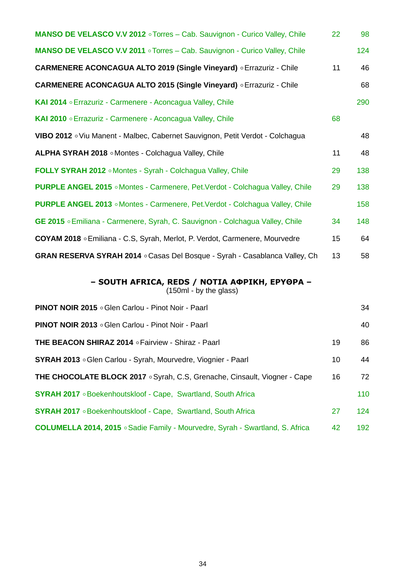| MANSO DE VELASCO V.V 2012 . Torres - Cab. Sauvignon - Curico Valley, Chile          | 22 | 98  |
|-------------------------------------------------------------------------------------|----|-----|
| MANSO DE VELASCO V.V 2011 . Torres - Cab. Sauvignon - Curico Valley, Chile          |    | 124 |
| CARMENERE ACONCAGUA ALTO 2019 (Single Vineyard) O Errazuriz - Chile                 | 11 | 46  |
| CARMENERE ACONCAGUA ALTO 2015 (Single Vineyard) . Errazuriz - Chile                 |    | 68  |
| KAI 2014 • Errazuriz - Carmenere - Aconcagua Valley, Chile                          |    | 290 |
| KAI 2010 • Errazuriz - Carmenere - Aconcagua Valley, Chile                          | 68 |     |
| VIBO 2012 ∘ Viu Manent - Malbec, Cabernet Sauvignon, Petit Verdot - Colchagua       |    | 48  |
| ALPHA SYRAH 2018 . Montes - Colchagua Valley, Chile                                 | 11 | 48  |
| FOLLY SYRAH 2012 . Montes - Syrah - Colchagua Valley, Chile                         | 29 | 138 |
| PURPLE ANGEL 2015 . Montes - Carmenere, Pet.Verdot - Colchagua Valley, Chile        | 29 | 138 |
| <b>PURPLE ANGEL 2013</b> · Montes - Carmenere, Pet.Verdot - Colchagua Valley, Chile |    | 158 |
| GE 2015 . Emiliana - Carmenere, Syrah, C. Sauvignon - Colchagua Valley, Chile       | 34 | 148 |
| COYAM 2018 • Emiliana - C.S, Syrah, Merlot, P. Verdot, Carmenere, Mourvedre         | 15 | 64  |
| GRAN RESERVA SYRAH 2014 . Casas Del Bosque - Syrah - Casablanca Valley, Ch          | 13 | 58  |

#### **– SOUTH AFRICA, REDS / ΝΟΤΙΑ ΑΦΡΙΚΗ, ΕΡΥΘΡΑ –**

| <b>PINOT NOIR 2015</b> . Glen Carlou - Pinot Noir - Paarl                            |    | 34  |
|--------------------------------------------------------------------------------------|----|-----|
| <b>PINOT NOIR 2013</b> • Glen Carlou - Pinot Noir - Paarl                            |    | 40  |
| <b>THE BEACON SHIRAZ 2014</b> • Fairview - Shiraz - Paarl                            | 19 | 86  |
| <b>SYRAH 2013</b> • Glen Carlou - Syrah, Mourvedre, Viognier - Paarl                 | 10 | 44  |
| <b>THE CHOCOLATE BLOCK 2017</b> • Syrah, C.S, Grenache, Cinsault, Viogner - Cape     | 16 | 72  |
| <b>SYRAH 2017</b> • Boekenhoutskloof - Cape, Swartland, South Africa                 |    | 110 |
| <b>SYRAH 2017</b> • Boekenhoutskloof - Cape, Swartland, South Africa                 | 27 | 124 |
| <b>COLUMELLA 2014, 2015</b> • Sadie Family - Mourvedre, Syrah - Swartland, S. Africa | 42 | 192 |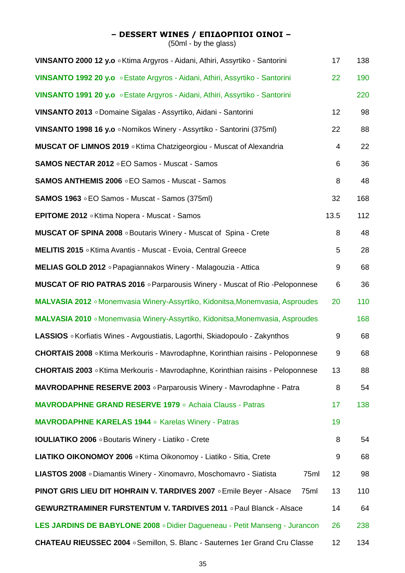## **– DESSERT WINES / ΕΠΙΔΟΡΠΙΟΙ ΟΙΝΟΙ –**

| VINSANTO 2000 12 y.o . Ktima Argyros - Aidani, Athiri, Assyrtiko - Santorini             | 17   | 138 |
|------------------------------------------------------------------------------------------|------|-----|
| VINSANTO 1992 20 y.o . Estate Argyros - Aidani, Athiri, Assyrtiko - Santorini            | 22   | 190 |
| VINSANTO 1991 20 y.o . Estate Argyros - Aidani, Athiri, Assyrtiko - Santorini            |      | 220 |
| VINSANTO 2013 o Domaine Sigalas - Assyrtiko, Aidani - Santorini                          | 12   | 98  |
| VINSANTO 1998 16 y.o . Nomikos Winery - Assyrtiko - Santorini (375ml)                    | 22   | 88  |
| <b>MUSCAT OF LIMNOS 2019</b> • Ktima Chatzigeorgiou - Muscat of Alexandria               | 4    | 22  |
| <b>SAMOS NECTAR 2012 .EO Samos - Muscat - Samos</b>                                      | 6    | 36  |
| <b>SAMOS ANTHEMIS 2006 • EO Samos - Muscat - Samos</b>                                   | 8    | 48  |
| <b>SAMOS 1963 EO Samos - Muscat - Samos (375ml)</b>                                      | 32   | 168 |
| <b>EPITOME 2012</b> • Ktima Nopera - Muscat - Samos                                      | 13.5 | 112 |
| <b>MUSCAT OF SPINA 2008</b> . Boutaris Winery - Muscat of Spina - Crete                  | 8    | 48  |
| MELITIS 2015 . Ktima Avantis - Muscat - Evoia, Central Greece                            | 5    | 28  |
| MELIAS GOLD 2012 . Papagiannakos Winery - Malagouzia - Attica                            | 9    | 68  |
| <b>MUSCAT OF RIO PATRAS 2016</b> • Parparousis Winery - Muscat of Rio - Peloponnese      | 6    | 36  |
| MALVASIA 2012 • Monemvasia Winery-Assyrtiko, Kidonitsa, Monemvasia, Asproudes            | 20   | 110 |
| MALVASIA 2010 • Monemvasia Winery-Assyrtiko, Kidonitsa, Monemvasia, Asproudes            |      | 168 |
| LASSIOS . Korfiatis Wines - Avgoustiatis, Lagorthi, Skiadopoulo - Zakynthos              | 9    | 68  |
| CHORTAIS 2008 ∘ Ktima Merkouris - Mavrodaphne, Korinthian raisins - Peloponnese          | 9    | 68  |
| CHORTAIS 2003 ∘ Ktima Merkouris - Mavrodaphne, Korinthian raisins - Peloponnese          | 13   | 88  |
| <b>MAVRODAPHNE RESERVE 2003</b> • Parparousis Winery - Mavrodaphne - Patra               | 8    | 54  |
| <b>MAVRODAPHNE GRAND RESERVE 1979</b> • Achaia Clauss - Patras                           | 17   | 138 |
| <b>MAVRODAPHNE KARELAS 1944</b> • Karelas Winery - Patras                                | 19   |     |
| <b>IOULIATIKO 2006</b> . Boutaris Winery - Liatiko - Crete                               | 8    | 54  |
| LIATIKO OIKONOMOY 2006 . Ktima Oikonomoy - Liatiko - Sitia, Crete                        | 9    | 68  |
| LIASTOS 2008 o Diamantis Winery - Xinomavro, Moschomavro - Siatista<br>75ml              | 12   | 98  |
| <b>PINOT GRIS LIEU DIT HOHRAIN V. TARDIVES 2007 <i>CEmile Beyer - Alsace</i></b><br>75ml | 13   | 110 |
| <b>GEWURZTRAMINER FURSTENTUM V. TARDIVES 2011</b> . Paul Blanck - Alsace                 | 14   | 64  |
| LES JARDINS DE BABYLONE 2008 . Didier Dagueneau - Petit Manseng - Jurancon               | 26   | 238 |
| <b>CHATEAU RIEUSSEC 2004</b> . Semillon, S. Blanc - Sauternes 1er Grand Cru Classe       | 12   | 134 |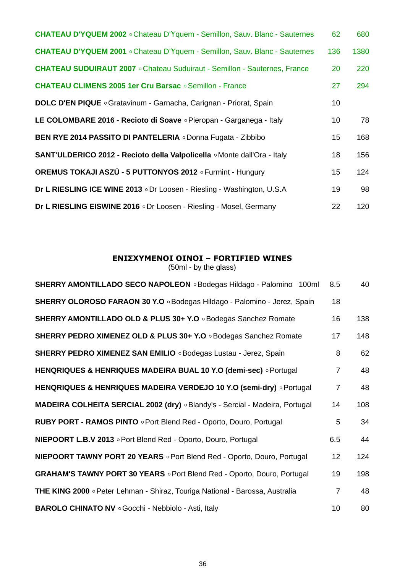| CHATEAU D'YQUEM 2002 . Chateau D'Yquem - Semillon, Sauv. Blanc - Sauternes        | 62              | 680  |
|-----------------------------------------------------------------------------------|-----------------|------|
| <b>CHATEAU D'YQUEM 2001</b> . Chateau D'Yquem - Semillon, Sauv. Blanc - Sauternes | 136             | 1380 |
| <b>CHATEAU SUDUIRAUT 2007</b> . Chateau Suduiraut - Semillon - Sauternes, France  | 20              | 220  |
| <b>CHATEAU CLIMENS 2005 1er Cru Barsac · Semillon - France</b>                    | 27              | 294  |
| DOLC D'EN PIQUE . Gratavinum - Garnacha, Carignan - Priorat, Spain                | 10 <sup>°</sup> |      |
| LE COLOMBARE 2016 - Recioto di Soave . Pieropan - Garganega - Italy               | 10 <sup>°</sup> | 78   |
| BEN RYE 2014 PASSITO DI PANTELERIA o Donna Fugata - Zibbibo                       | 15 <sub>1</sub> | 168  |
| SANT'ULDERICO 2012 - Recioto della Valpolicella ∘Monte dall'Ora - Italy           | 18              | 156  |
| OREMUS TOKAJI ASZÚ - 5 PUTTONYOS 2012 o Furmint - Hungury                         | 15 <sub>1</sub> | 124  |
| Dr L RIESLING ICE WINE 2013 oDr Loosen - Riesling - Washington, U.S.A             | 19              | 98   |
| Dr L RIESLING EISWINE 2016 oDr Loosen - Riesling - Mosel, Germany                 | 22              | 120  |

## **ΕΝΙΣΧΥΜΕΝΟΙ ΟΙΝΟΙ – FORTIFIED WINES**

| SHERRY AMONTILLADO SECO NAPOLEON o Bodegas Hildago - Palomino 100ml                 | 8.5             | 40  |
|-------------------------------------------------------------------------------------|-----------------|-----|
| SHERRY OLOROSO FARAON 30 Y.O . Bodegas Hildago - Palomino - Jerez, Spain            | 18              |     |
| SHERRY AMONTILLADO OLD & PLUS 30+ Y.O . Bodegas Sanchez Romate                      | 16              | 138 |
| SHERRY PEDRO XIMENEZ OLD & PLUS 30+ Y.O . Bodegas Sanchez Romate                    | 17              | 148 |
| SHERRY PEDRO XIMENEZ SAN EMILIO . Bodegas Lustau - Jerez, Spain                     | 8               | 62  |
| HENQRIQUES & HENRIQUES MADEIRA BUAL 10 Y.O (demi-sec) o Portugal                    | $\overline{7}$  | 48  |
| HENQRIQUES & HENRIQUES MADEIRA VERDEJO 10 Y.O (semi-dry) o Portugal                 | $\overline{7}$  | 48  |
| MADEIRA COLHEITA SERCIAL 2002 (dry) . Blandy's - Sercial - Madeira, Portugal        | 14              | 108 |
| <b>RUBY PORT - RAMOS PINTO . Port Blend Red - Oporto, Douro, Portugal</b>           | 5               | 34  |
| NIEPOORT L.B.V 2013 . Port Blend Red - Oporto, Douro, Portugal                      | 6.5             | 44  |
| <b>NIEPOORT TAWNY PORT 20 YEARS</b> . Port Blend Red - Oporto, Douro, Portugal      | 12 <sub>2</sub> | 124 |
| <b>GRAHAM'S TAWNY PORT 30 YEARS Port Blend Red - Oporto, Douro, Portugal</b>        | 19              | 198 |
| <b>THE KING 2000</b> • Peter Lehman - Shiraz, Touriga National - Barossa, Australia | $\overline{7}$  | 48  |
| <b>BAROLO CHINATO NV</b> . Gocchi - Nebbiolo - Asti, Italy                          | 10              | 80  |